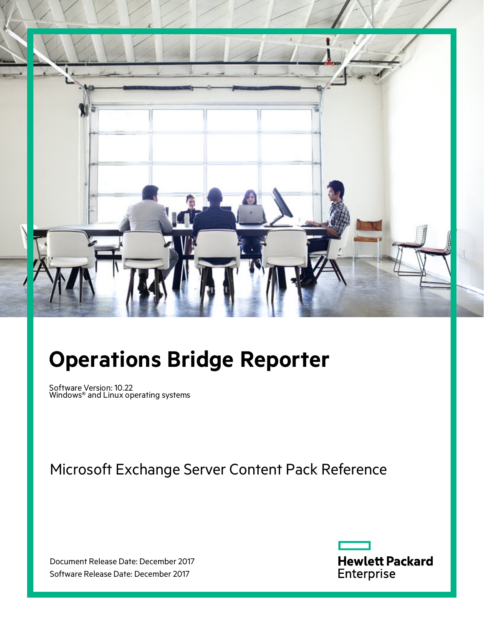

# **Operations Bridge Reporter**

Software Version: 10.22 Windows® and Linux operating systems

Microsoft Exchange Server Content Pack Reference

Document Release Date: December 2017 Software Release Date: December 2017

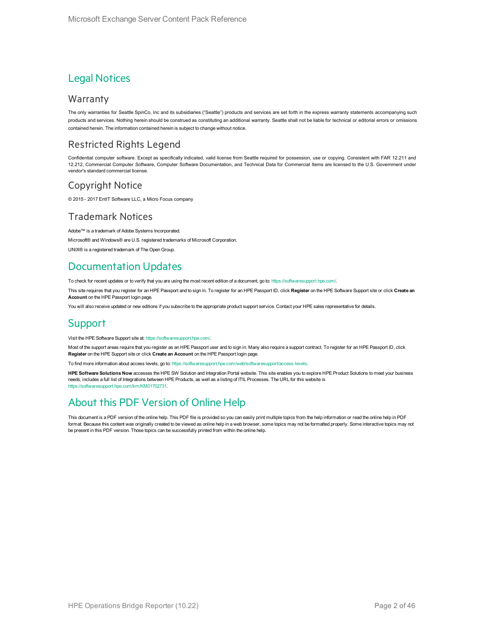#### Legal Notices

#### Warranty

The only warranties for Seattle SpinCo, Inc and its subsidiaries ("Seattle") products and services are set forth in the express warranty statements accompanying such products and services. Nothing herein should be construed as constituting an additional warranty. Seattle shall not be liable for technical or editorial errors or omissions contained herein. The information contained herein is subject to change without notice.

#### Restricted Rights Legend

Confidential computer software. Except as specifically indicated, valid license from Seattle required for possession, use or copying. Consistent with FAR 12.211 and 12.212, Commercial Computer Software, Computer Software Documentation, and Technical Data for Commercial Items are licensed to the U.S. Government under vendor's standard commercial license.

#### Copyright Notice

© 2015 - 2017 EntIT Software LLC, a Micro Focus company

#### Trademark Notices

Adobe™ is a trademark of Adobe Systems Incorporated.

Microsoft® and Windows® are U.S. registered trademarks of Microsoft Corporation.

UNIX® is a registered trademark of The Open Group.

#### Documentation Updates

To check for recent updates or to verify that you are using the most recent edition of a document, go to: <https://softwaresupport.hpe.com/>.

This site requires that you register for an HPE Passport and to sign in. To register for an HPE Passport ID, click **Register** on the HPE Software Support site or click **Create an Account** on the HPE Passport login page.

You will also receive updated or new editions if you subscribe to the appropriate product support service. Contact your HPE sales representative for details.

#### **Support**

Visit the HPE Software Support site at: <https://softwaresupport.hpe.com/>.

Most of the support areas require that you register as an HPE Passport user and to sign in. Many also require a support contract. To register for an HPE Passport ID, click **Register** on the HPE Support site or click **Create an Account** on the HPE Passport login page.

To find more information about access levels, go to: <https://softwaresupport.hpe.com/web/softwaresupport/access-levels>.

**HPE Software Solutions Now** accesses the HPE SW Solution and Integration Portal website. This site enables you to explore HPE Product Solutions to meet your business needs, includes a full list of Integrations between HPE Products, as well as a listing of ITIL Processes. The URL for this website is [https://softwaresupport.hpe.com/km/KM01702731.](https://softwaresupport.hpe.com/km/KM01702731)

#### About this PDF Version of Online Help

This document is a PDF version of the online help. This PDF file is provided so you can easily print multiple topics from the help information or read the online help in PDF format. Because this content was originally created to be viewed as online help in a web browser, some topics may not be formatted properly. Some interactive topics may not be present in this PDF version. Those topics can be successfully printed from within the online help.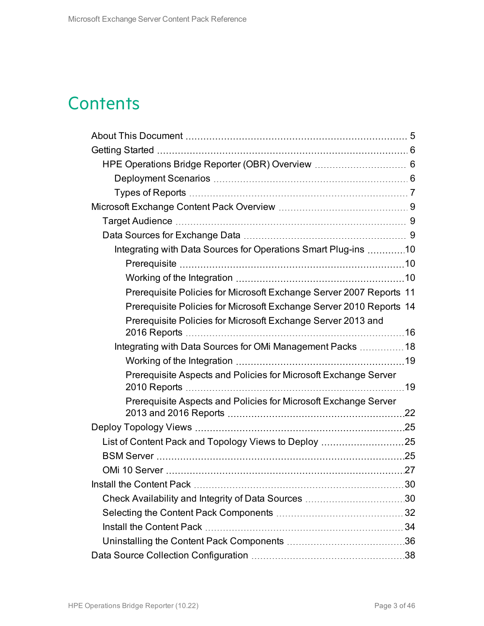# **Contents**

| Integrating with Data Sources for Operations Smart Plug-ins 10      |  |
|---------------------------------------------------------------------|--|
|                                                                     |  |
|                                                                     |  |
| Prerequisite Policies for Microsoft Exchange Server 2007 Reports 11 |  |
| Prerequisite Policies for Microsoft Exchange Server 2010 Reports 14 |  |
| Prerequisite Policies for Microsoft Exchange Server 2013 and        |  |
| Integrating with Data Sources for OMi Management Packs  18          |  |
|                                                                     |  |
| Prerequisite Aspects and Policies for Microsoft Exchange Server     |  |
| Prerequisite Aspects and Policies for Microsoft Exchange Server     |  |
|                                                                     |  |
|                                                                     |  |
|                                                                     |  |
|                                                                     |  |
|                                                                     |  |
|                                                                     |  |
|                                                                     |  |
|                                                                     |  |
|                                                                     |  |
|                                                                     |  |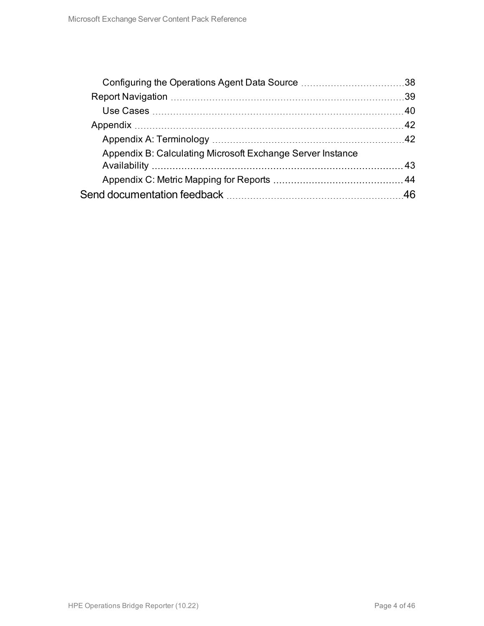| Appendix B: Calculating Microsoft Exchange Server Instance |  |
|------------------------------------------------------------|--|
|                                                            |  |
|                                                            |  |
|                                                            |  |
|                                                            |  |
|                                                            |  |
|                                                            |  |
|                                                            |  |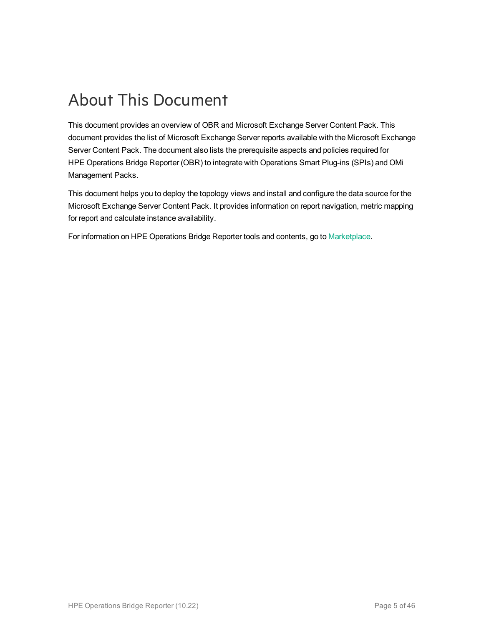# <span id="page-4-0"></span>About This Document

This document provides an overview of OBR and Microsoft Exchange Server Content Pack. This document provides the list of Microsoft Exchange Server reports available with the Microsoft Exchange Server Content Pack. The document also lists the prerequisite aspects and policies required for HPE Operations Bridge Reporter (OBR) to integrate with Operations Smart Plug-ins (SPIs) and OMi Management Packs.

This document helps you to deploy the topology views and install and configure the data source for the Microsoft Exchange Server Content Pack. It provides information on report navigation, metric mapping for report and calculate instance availability.

For information on HPE Operations Bridge Reporter tools and contents, go to [Marketplace.](https://marketplace.saas.hpe.com/itom/category/all?product=Operations%20Bridge%20Reporter&version=All%20versions&company=All%20companies)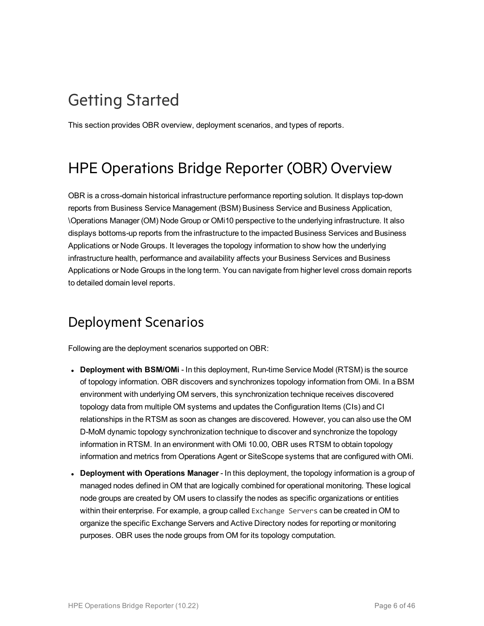# <span id="page-5-0"></span>Getting Started

<span id="page-5-1"></span>This section provides OBR overview, deployment scenarios, and types of reports.

## HPE Operations Bridge Reporter (OBR) Overview

OBR is a cross-domain historical infrastructure performance reporting solution. It displays top-down reports from Business Service Management (BSM) Business Service and Business Application, \Operations Manager (OM) Node Group or OMi10 perspective to the underlying infrastructure. It also displays bottoms-up reports from the infrastructure to the impacted Business Services and Business Applications or Node Groups. It leverages the topology information to show how the underlying infrastructure health, performance and availability affects your Business Services and Business Applications or Node Groups in the long term. You can navigate from higher level cross domain reports to detailed domain level reports.

### <span id="page-5-2"></span>Deployment Scenarios

Following are the deployment scenarios supported on OBR:

- **Deployment with BSM/OMi** In this deployment, Run-time Service Model (RTSM) is the source of topology information. OBR discovers and synchronizes topology information from OMi. In a BSM environment with underlying OM servers, this synchronization technique receives discovered topology data from multiple OM systems and updates the Configuration Items (CIs) and CI relationships in the RTSM as soon as changes are discovered. However, you can also use the OM D-MoM dynamic topology synchronization technique to discover and synchronize the topology information in RTSM. In an environment with OMi 10.00, OBR uses RTSM to obtain topology information and metrics from Operations Agent or SiteScope systems that are configured with OMi.
- <sup>l</sup> **Deployment with Operations Manager** In this deployment, the topology information is a group of managed nodes defined in OM that are logically combined for operational monitoring. These logical node groups are created by OM users to classify the nodes as specific organizations or entities within their enterprise. For example, a group called Exchange Servers can be created in OM to organize the specific Exchange Servers and Active Directory nodes for reporting or monitoring purposes. OBR uses the node groups from OM for its topology computation.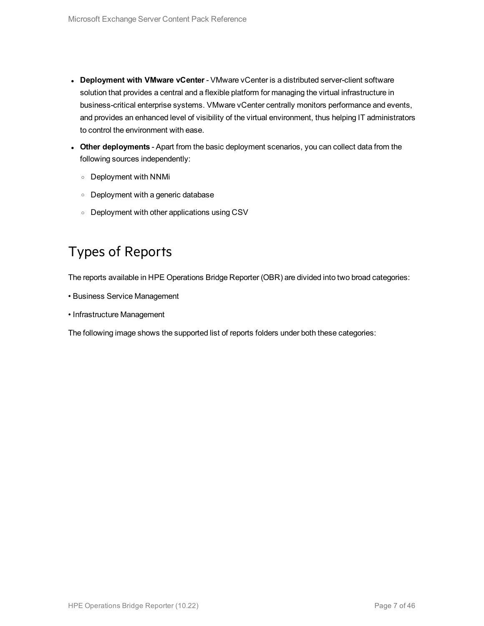- <sup>l</sup> **Deployment with VMware vCenter** VMware vCenter is a distributed server-client software solution that provides a central and a flexible platform for managing the virtual infrastructure in business-critical enterprise systems. VMware vCenter centrally monitors performance and events, and provides an enhanced level of visibility of the virtual environment, thus helping IT administrators to control the environment with ease.
- **.** Other deployments Apart from the basic deployment scenarios, you can collect data from the following sources independently:
	- <sup>o</sup> Deployment with NNMi
	- <sup>o</sup> Deployment with a generic database
	- <sup>o</sup> Deployment with other applications using CSV

### <span id="page-6-0"></span>Types of Reports

The reports available in HPE Operations Bridge Reporter (OBR) are divided into two broad categories:

- Business Service Management
- Infrastructure Management

The following image shows the supported list of reports folders under both these categories: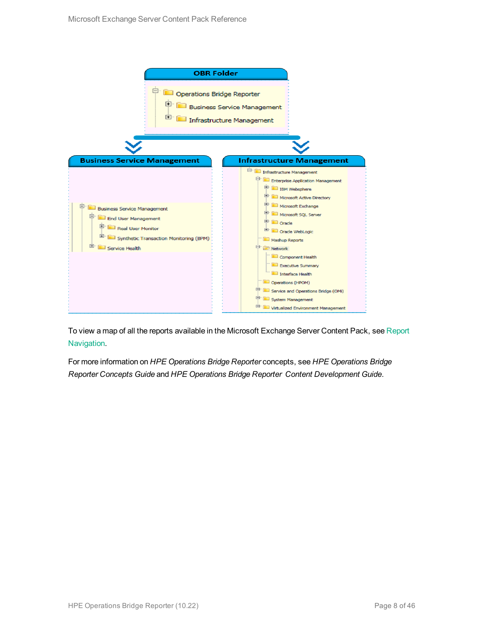

To view a map of all the reports available in the Microsoft Exchange Server Content Pack, see [Report](#page-38-0) [Navigation.](#page-38-0)

For more information on *HPE Operations Bridge Reporter* concepts, see *HPE Operations Bridge Reporter Concepts Guide* and *HPE Operations Bridge Reporter Content Development Guide*.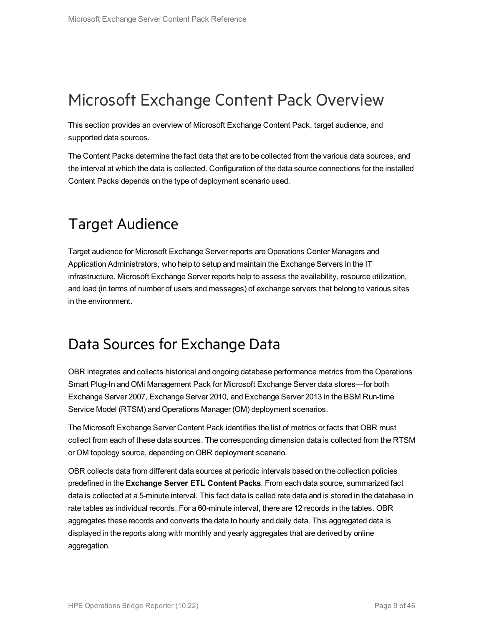## <span id="page-8-0"></span>Microsoft Exchange Content Pack Overview

This section provides an overview of Microsoft Exchange Content Pack, target audience, and supported data sources.

The Content Packs determine the fact data that are to be collected from the various data sources, and the interval at which the data is collected. Configuration of the data source connections for the installed Content Packs depends on the type of deployment scenario used.

## <span id="page-8-1"></span>Target Audience

Target audience for Microsoft Exchange Server reports are Operations Center Managers and Application Administrators, who help to setup and maintain the Exchange Servers in the IT infrastructure. Microsoft Exchange Server reports help to assess the availability, resource utilization, and load (in terms of number of users and messages) of exchange servers that belong to various sites in the environment.

### <span id="page-8-2"></span>Data Sources for Exchange Data

OBR integrates and collects historical and ongoing database performance metrics from the Operations Smart Plug-In and OMi Management Pack for Microsoft Exchange Server data stores—for both Exchange Server 2007, Exchange Server 2010, and Exchange Server 2013 in the BSM Run-time Service Model (RTSM) and Operations Manager (OM) deployment scenarios.

The Microsoft Exchange Server Content Pack identifies the list of metrics or facts that OBR must collect from each of these data sources. The corresponding dimension data is collected from the RTSM or OM topology source, depending on OBR deployment scenario.

OBR collects data from different data sources at periodic intervals based on the collection policies predefined in the **Exchange Server ETL Content Packs**. From each data source, summarized fact data is collected at a 5-minute interval. This fact data is called rate data and is stored in the database in rate tables as individual records. For a 60-minute interval, there are 12 records in the tables. OBR aggregates these records and converts the data to hourly and daily data. This aggregated data is displayed in the reports along with monthly and yearly aggregates that are derived by online aggregation.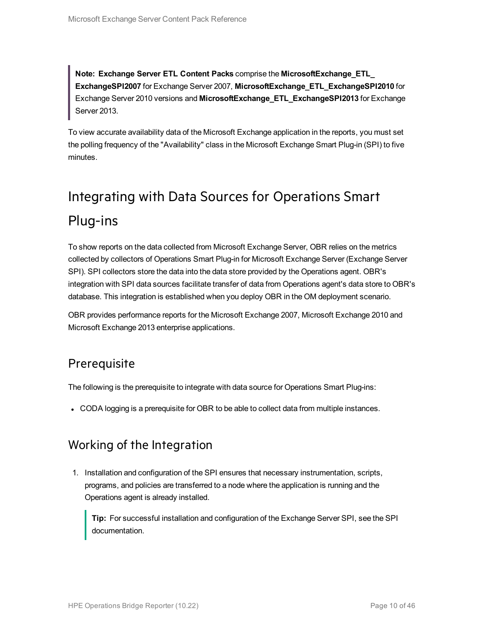**Note: Exchange Server ETL Content Packs** comprise the **MicrosoftExchange\_ETL\_ ExchangeSPI2007** for Exchange Server 2007, **MicrosoftExchange\_ETL\_ExchangeSPI2010** for Exchange Server 2010 versions and **MicrosoftExchange\_ETL\_ExchangeSPI2013** for Exchange Server 2013.

To view accurate availability data of the Microsoft Exchange application in the reports, you must set the polling frequency of the "Availability" class in the Microsoft Exchange Smart Plug-in (SPI) to five minutes.

# <span id="page-9-0"></span>Integrating with Data Sources for Operations Smart Plug-ins

To show reports on the data collected from Microsoft Exchange Server, OBR relies on the metrics collected by collectors of Operations Smart Plug-in for Microsoft Exchange Server (Exchange Server SPI). SPI collectors store the data into the data store provided by the Operations agent. OBR's integration with SPI data sources facilitate transfer of data from Operations agent's data store to OBR's database. This integration is established when you deploy OBR in the OM deployment scenario.

<span id="page-9-1"></span>OBR provides performance reports for the Microsoft Exchange 2007, Microsoft Exchange 2010 and Microsoft Exchange 2013 enterprise applications.

#### **Prerequisite**

The following is the prerequisite to integrate with data source for Operations Smart Plug-ins:

<span id="page-9-2"></span>• CODA logging is a prerequisite for OBR to be able to collect data from multiple instances.

#### Working of the Integration

1. Installation and configuration of the SPI ensures that necessary instrumentation, scripts, programs, and policies are transferred to a node where the application is running and the Operations agent is already installed.

**Tip:** For successful installation and configuration of the Exchange Server SPI, see the SPI documentation.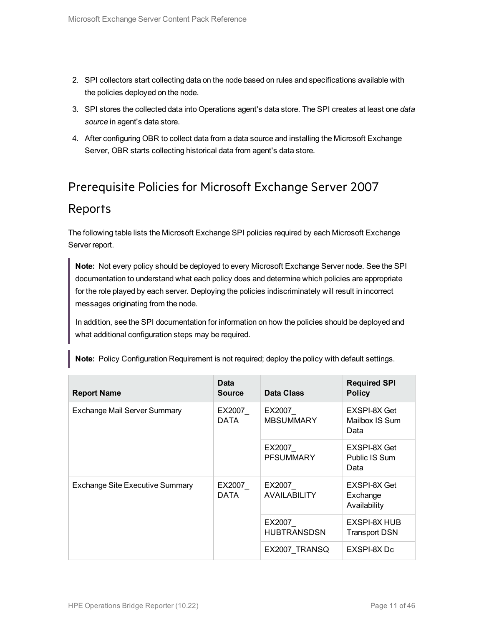- 2. SPI collectors start collecting data on the node based on rules and specifications available with the policies deployed on the node.
- 3. SPI stores the collected data into Operations agent's data store. The SPI creates at least one *data source* in agent's data store.
- 4. After configuring OBR to collect data from a data source and installing the Microsoft Exchange Server, OBR starts collecting historical data from agent's data store.

## <span id="page-10-0"></span>Prerequisite Policies for Microsoft Exchange Server 2007 Reports

The following table lists the Microsoft Exchange SPI policies required by each Microsoft Exchange Server report.

**Note:** Not every policy should be deployed to every Microsoft Exchange Server node. See the SPI documentation to understand what each policy does and determine which policies are appropriate for the role played by each server. Deploying the policies indiscriminately will result in incorrect messages originating from the node.

In addition, see the SPI documentation for information on how the policies should be deployed and what additional configuration steps may be required.

| <b>Report Name</b>                                       | Data<br><b>Source</b> | Data Class                    | <b>Required SPI</b><br><b>Policy</b>     |
|----------------------------------------------------------|-----------------------|-------------------------------|------------------------------------------|
| <b>Exchange Mail Server Summary</b>                      | EX2007<br>DATA        | EX2007<br><b>MBSUMMARY</b>    | EXSPI-8X Get<br>Mailbox IS Sum<br>Data   |
|                                                          |                       | EX2007<br><b>PFSUMMARY</b>    | EXSPI-8X Get<br>Public IS Sum<br>Data    |
| <b>Exchange Site Executive Summary</b><br>EX2007<br>DATA |                       | EX2007<br><b>AVAILABILITY</b> | EXSPI-8X Get<br>Exchange<br>Availability |
|                                                          |                       | EX2007<br><b>HUBTRANSDSN</b>  | EXSPI-8X HUB<br><b>Transport DSN</b>     |
|                                                          |                       | EX2007 TRANSQ                 | EXSPI-8X Dc                              |

**Note:** Policy Configuration Requirement is not required; deploy the policy with default settings.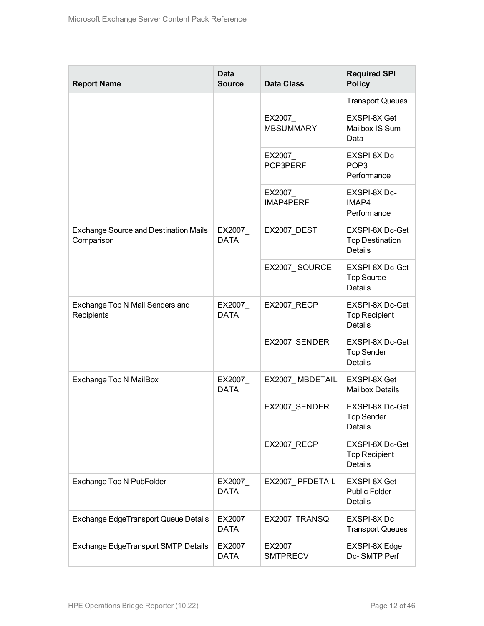| <b>Report Name</b>                                         | <b>Data</b><br><b>Source</b> | <b>Data Class</b>           | <b>Required SPI</b><br><b>Policy</b>                        |
|------------------------------------------------------------|------------------------------|-----------------------------|-------------------------------------------------------------|
|                                                            |                              |                             | <b>Transport Queues</b>                                     |
|                                                            |                              | EX2007<br><b>MBSUMMARY</b>  | EXSPI-8X Get<br>Mailbox IS Sum<br>Data                      |
|                                                            |                              | EX2007<br>POP3PERF          | EXSPI-8X Dc-<br>POP <sub>3</sub><br>Performance             |
|                                                            |                              | EX2007_<br><b>IMAP4PERF</b> | EXSPI-8X Dc-<br>IMAP4<br>Performance                        |
| <b>Exchange Source and Destination Mails</b><br>Comparison | EX2007_<br><b>DATA</b>       | EX2007_DEST                 | EXSPI-8X Dc-Get<br><b>Top Destination</b><br><b>Details</b> |
|                                                            |                              | EX2007_SOURCE               | EXSPI-8X Dc-Get<br><b>Top Source</b><br><b>Details</b>      |
| Exchange Top N Mail Senders and<br>Recipients              | EX2007<br><b>DATA</b>        | EX2007_RECP                 | EXSPI-8X Dc-Get<br><b>Top Recipient</b><br><b>Details</b>   |
|                                                            |                              | EX2007_SENDER               | EXSPI-8X Dc-Get<br><b>Top Sender</b><br><b>Details</b>      |
| Exchange Top N MailBox                                     | EX2007_<br><b>DATA</b>       | EX2007_MBDETAIL             | EXSPI-8X Get<br><b>Mailbox Details</b>                      |
|                                                            |                              | EX2007_SENDER               | EXSPI-8X Dc-Get<br>Top Sender<br>Details                    |
|                                                            |                              | EX2007_RECP                 | EXSPI-8X Dc-Get<br><b>Top Recipient</b><br><b>Details</b>   |
| Exchange Top N PubFolder                                   | EX2007<br><b>DATA</b>        | EX2007_PFDETAIL             | EXSPI-8X Get<br><b>Public Folder</b><br>Details             |
| <b>Exchange EdgeTransport Queue Details</b>                | EX2007<br><b>DATA</b>        | EX2007_TRANSQ               | EXSPI-8X Dc<br><b>Transport Queues</b>                      |
| Exchange EdgeTransport SMTP Details                        | EX2007_<br><b>DATA</b>       | EX2007<br><b>SMTPRECV</b>   | EXSPI-8X Edge<br>Dc-SMTP Perf                               |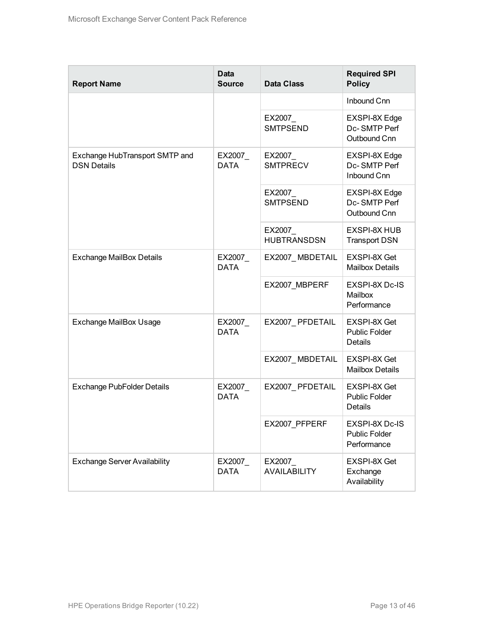| <b>Report Name</b>                                   | <b>Data</b><br><b>Source</b> | <b>Data Class</b>              | <b>Required SPI</b><br><b>Policy</b>                   |
|------------------------------------------------------|------------------------------|--------------------------------|--------------------------------------------------------|
|                                                      |                              |                                | Inbound Cnn                                            |
|                                                      |                              | EX2007<br><b>SMTPSEND</b>      | EXSPI-8X Edge<br>Dc-SMTP Perf<br>Outbound Cnn          |
| Exchange HubTransport SMTP and<br><b>DSN Details</b> | EX2007_<br><b>DATA</b>       | EX2007<br><b>SMTPRECV</b>      | EXSPI-8X Edge<br>Dc-SMTP Perf<br>Inbound Cnn           |
|                                                      |                              | EX2007<br><b>SMTPSEND</b>      | EXSPI-8X Edge<br>Dc-SMTP Perf<br>Outbound Cnn          |
|                                                      |                              | EX2007<br><b>HUBTRANSDSN</b>   | <b>EXSPI-8X HUB</b><br><b>Transport DSN</b>            |
| <b>Exchange MailBox Details</b>                      | EX2007_<br><b>DATA</b>       | EX2007_MBDETAIL                | <b>EXSPI-8X Get</b><br><b>Mailbox Details</b>          |
|                                                      |                              | EX2007 MBPERF                  | <b>EXSPI-8X Dc-IS</b><br>Mailbox<br>Performance        |
| <b>Exchange MailBox Usage</b>                        | EX2007<br><b>DATA</b>        | EX2007_PFDETAIL                | EXSPI-8X Get<br><b>Public Folder</b><br>Details        |
|                                                      |                              | EX2007_MBDETAIL                | <b>EXSPI-8X Get</b><br><b>Mailbox Details</b>          |
| <b>Exchange PubFolder Details</b>                    | EX2007<br><b>DATA</b>        | EX2007 PFDETAIL                | <b>EXSPI-8X Get</b><br><b>Public Folder</b><br>Details |
|                                                      |                              | EX2007_PFPERF                  | EXSPI-8X Dc-IS<br><b>Public Folder</b><br>Performance  |
| <b>Exchange Server Availability</b>                  | EX2007_<br><b>DATA</b>       | EX2007_<br><b>AVAILABILITY</b> | EXSPI-8X Get<br>Exchange<br>Availability               |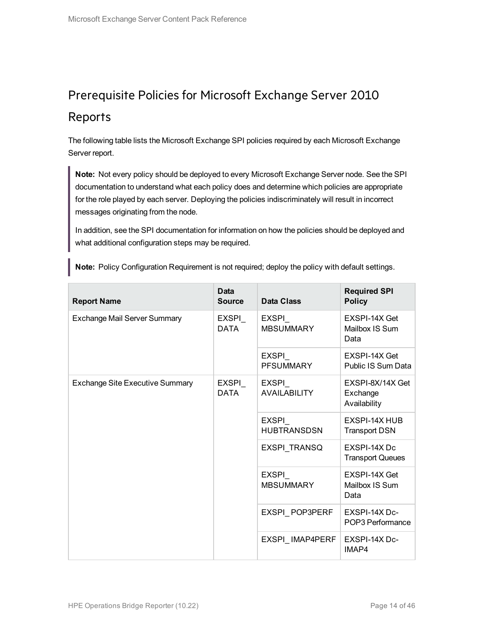## <span id="page-13-0"></span>Prerequisite Policies for Microsoft Exchange Server 2010 Reports

The following table lists the Microsoft Exchange SPI policies required by each Microsoft Exchange Server report.

**Note:** Not every policy should be deployed to every Microsoft Exchange Server node. See the SPI documentation to understand what each policy does and determine which policies are appropriate for the role played by each server. Deploying the policies indiscriminately will result in incorrect messages originating from the node.

In addition, see the SPI documentation for information on how the policies should be deployed and what additional configuration steps may be required.

|  |  |  | <b>Note:</b> Policy Configuration Requirement is not required; deploy the policy with default settings. |  |  |  |  |
|--|--|--|---------------------------------------------------------------------------------------------------------|--|--|--|--|
|--|--|--|---------------------------------------------------------------------------------------------------------|--|--|--|--|

| <b>Report Name</b>                     | <b>Data</b><br><b>Source</b> | <b>Data Class</b>                   | <b>Required SPI</b><br><b>Policy</b>         |
|----------------------------------------|------------------------------|-------------------------------------|----------------------------------------------|
| Exchange Mail Server Summary           | EXSPI<br><b>DATA</b>         | EXSPI<br><b>MBSUMMARY</b>           | EXSPI-14X Get<br>Mailbox IS Sum<br>Data      |
|                                        |                              | EXSPI<br><b>PFSUMMARY</b>           | EXSPI-14X Get<br>Public IS Sum Data          |
| <b>Exchange Site Executive Summary</b> | EXSPI<br><b>DATA</b>         | <b>EXSPI</b><br><b>AVAILABILITY</b> | EXSPI-8X/14X Get<br>Exchange<br>Availability |
|                                        |                              | EXSPI<br><b>HUBTRANSDSN</b>         | EXSPI-14X HUB<br><b>Transport DSN</b>        |
|                                        |                              | EXSPI_TRANSQ                        | EXSPI-14X Dc<br><b>Transport Queues</b>      |
|                                        |                              | EXSPI<br><b>MBSUMMARY</b>           | EXSPI-14X Get<br>Mailbox IS Sum<br>Data      |
|                                        |                              | EXSPI_POP3PERF                      | EXSPI-14X Dc-<br>POP3 Performance            |
|                                        |                              | EXSPI_IMAP4PERF                     | EXSPI-14X Dc-<br>IMAP4                       |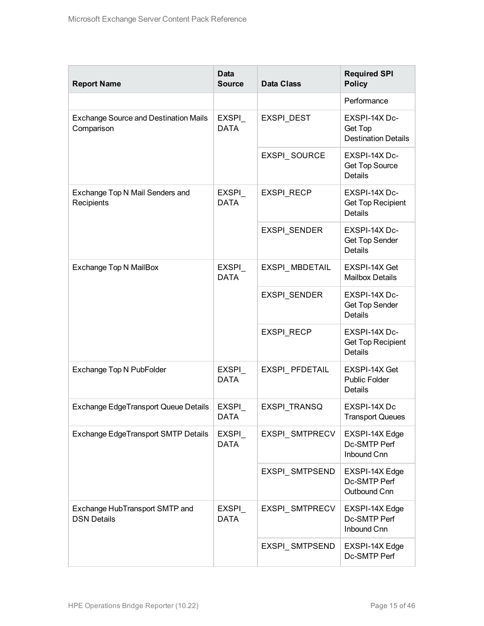| <b>Report Name</b>                                         | <b>Data</b><br><b>Source</b> | <b>Data Class</b>   | <b>Required SPI</b><br><b>Policy</b>                        |
|------------------------------------------------------------|------------------------------|---------------------|-------------------------------------------------------------|
|                                                            |                              |                     | Performance                                                 |
| <b>Exchange Source and Destination Mails</b><br>Comparison | EXSPI_<br><b>DATA</b>        | <b>EXSPI DEST</b>   | EXSPI-14X Dc-<br>Get Top<br><b>Destination Details</b>      |
|                                                            |                              | EXSPI SOURCE        | EXSPI-14X Dc-<br><b>Get Top Source</b><br><b>Details</b>    |
| Exchange Top N Mail Senders and<br>Recipients              | EXSPI<br><b>DATA</b>         | EXSPI_RECP          | EXSPI-14X Dc-<br>Get Top Recipient<br><b>Details</b>        |
|                                                            |                              | EXSPI_SENDER        | EXSPI-14X Dc-<br><b>Get Top Sender</b><br><b>Details</b>    |
| <b>Exchange Top N MailBox</b>                              | EXSPI<br><b>DATA</b>         | EXSPI_MBDETAIL      | EXSPI-14X Get<br><b>Mailbox Details</b>                     |
|                                                            |                              | EXSPI_SENDER        | EXSPI-14X Dc-<br>Get Top Sender<br><b>Details</b>           |
|                                                            |                              | <b>EXSPI RECP</b>   | EXSPI-14X Dc-<br><b>Get Top Recipient</b><br><b>Details</b> |
| Exchange Top N PubFolder                                   | EXSPI<br><b>DATA</b>         | EXSPI_PFDETAIL      | EXSPI-14X Get<br>Public Folder<br>Details                   |
| <b>Exchange EdgeTransport Queue Details</b>                | EXSPI<br><b>DATA</b>         | <b>EXSPI TRANSQ</b> | EXSPI-14X Dc<br><b>Transport Queues</b>                     |
| <b>Exchange EdgeTransport SMTP Details</b>                 | EXSPI<br>DATA                | EXSPI_SMTPRECV      | EXSPI-14X Edge<br>Dc-SMTP Perf<br>Inbound Cnn               |
|                                                            |                              | EXSPI_SMTPSEND      | EXSPI-14X Edge<br>Dc-SMTP Perf<br>Outbound Cnn              |
| Exchange HubTransport SMTP and<br><b>DSN Details</b>       | EXSPI_<br><b>DATA</b>        | EXSPI_SMTPRECV      | EXSPI-14X Edge<br>Dc-SMTP Perf<br>Inbound Cnn               |
|                                                            |                              | EXSPI_SMTPSEND      | EXSPI-14X Edge<br>Dc-SMTP Perf                              |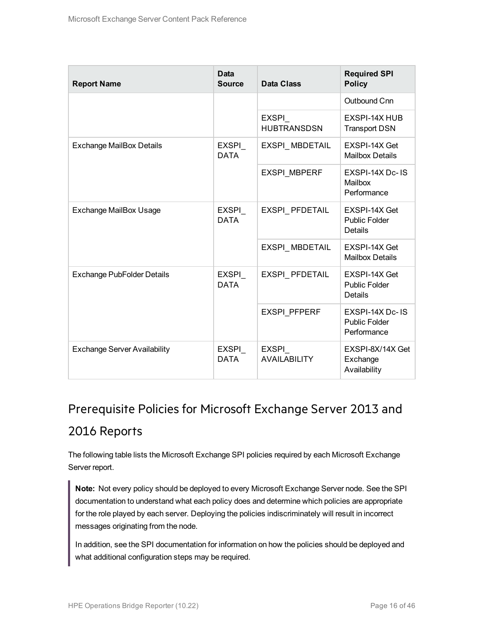| <b>Report Name</b>                                        | <b>Data</b><br><b>Source</b> | <b>Data Class</b>                   | <b>Required SPI</b><br><b>Policy</b>                   |
|-----------------------------------------------------------|------------------------------|-------------------------------------|--------------------------------------------------------|
|                                                           |                              |                                     | Outbound Cnn                                           |
|                                                           |                              | EXSPI<br><b>HUBTRANSDSN</b>         | EXSPI-14X HUB<br><b>Transport DSN</b>                  |
| <b>Exchange MailBox Details</b>                           | <b>EXSPI</b><br><b>DATA</b>  | EXSPI MBDETAIL                      | EXSPI-14X Get<br><b>Mailbox Details</b>                |
|                                                           |                              | <b>EXSPI MBPERF</b>                 | EXSPI-14X Dc-IS<br>Mailbox<br>Performance              |
| <b>Exchange MailBox Usage</b>                             | EXSPI_<br><b>DATA</b>        | EXSPI PFDETAIL                      | EXSPI-14X Get<br><b>Public Folder</b><br>Details       |
|                                                           |                              | EXSPI_MBDETAIL                      | EXSPI-14X Get<br><b>Mailbox Details</b>                |
| Exchange PubFolder Details<br><b>EXSPI</b><br><b>DATA</b> |                              | EXSPI PFDETAIL                      | EXSPI-14X Get<br><b>Public Folder</b><br>Details       |
|                                                           |                              | EXSPI_PFPERF                        | EXSPI-14X Dc-IS<br><b>Public Folder</b><br>Performance |
| <b>Exchange Server Availability</b>                       | <b>EXSPI</b><br><b>DATA</b>  | <b>EXSPI</b><br><b>AVAILABILITY</b> | EXSPI-8X/14X Get<br>Exchange<br>Availability           |

## <span id="page-15-0"></span>Prerequisite Policies for Microsoft Exchange Server 2013 and 2016 Reports

The following table lists the Microsoft Exchange SPI policies required by each Microsoft Exchange Server report.

**Note:** Not every policy should be deployed to every Microsoft Exchange Server node. See the SPI documentation to understand what each policy does and determine which policies are appropriate for the role played by each server. Deploying the policies indiscriminately will result in incorrect messages originating from the node.

In addition, see the SPI documentation for information on how the policies should be deployed and what additional configuration steps may be required.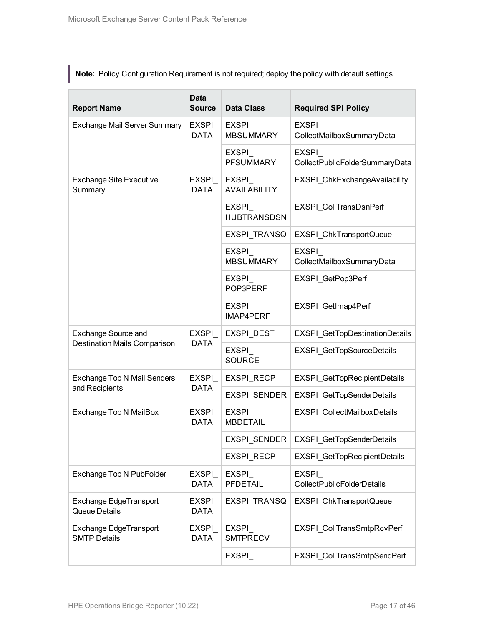**Note:** Policy Configuration Requirement is not required; deploy the policy with default settings.

| <b>Report Name</b>                            | <b>Data</b><br><b>Source</b> | <b>Data Class</b>                   | <b>Required SPI Policy</b>                        |
|-----------------------------------------------|------------------------------|-------------------------------------|---------------------------------------------------|
| Exchange Mail Server Summary                  | EXSPI<br><b>DATA</b>         | EXSPI<br><b>MBSUMMARY</b>           | EXSPI<br>CollectMailboxSummaryData                |
|                                               |                              | EXSPI<br><b>PFSUMMARY</b>           | <b>EXSPI</b><br>CollectPublicFolderSummaryData    |
| <b>Exchange Site Executive</b><br>Summary     | EXSPI<br><b>DATA</b>         | <b>EXSPI</b><br><b>AVAILABILITY</b> | EXSPI ChkExchangeAvailability                     |
|                                               |                              | EXSPI<br><b>HUBTRANSDSN</b>         | EXSPI_CollTransDsnPerf                            |
|                                               |                              | EXSPI_TRANSQ                        | EXSPI_ChkTransportQueue                           |
|                                               |                              | <b>EXSPI</b><br><b>MBSUMMARY</b>    | <b>EXSPI</b><br>CollectMailboxSummaryData         |
|                                               |                              | EXSPI<br>POP3PERF                   | EXSPI GetPop3Perf                                 |
|                                               |                              | EXSPI<br>IMAP4PERF                  | EXSPI_GetImap4Perf                                |
| <b>Exchange Source and</b>                    | <b>EXSPI</b>                 | EXSPI DEST                          | EXSPI_GetTopDestinationDetails                    |
| <b>Destination Mails Comparison</b>           | <b>DATA</b>                  | <b>EXSPI</b><br><b>SOURCE</b>       | EXSPI_GetTopSourceDetails                         |
| Exchange Top N Mail Senders                   | EXSPI                        | <b>EXSPI RECP</b>                   | EXSPI_GetTopRecipientDetails                      |
| and Recipients                                | <b>DATA</b>                  | EXSPI_SENDER                        | EXSPI_GetTopSenderDetails                         |
| Exchange Top N MailBox                        | EXSPI<br><b>DATA</b>         | EXSPI<br><b>MBDETAIL</b>            | EXSPI_CollectMailboxDetails                       |
|                                               |                              | <b>EXSPI SENDER</b>                 | EXSPI GetTopSenderDetails                         |
|                                               |                              | <b>EXSPI RECP</b>                   | <b>EXSPI GetTopRecipientDetails</b>               |
| Exchange Top N PubFolder                      | EXSPI<br><b>DATA</b>         | EXSPI<br><b>PFDETAIL</b>            | <b>EXSPI</b><br><b>CollectPublicFolderDetails</b> |
| Exchange EdgeTransport<br>Queue Details       | <b>EXSPI</b><br><b>DATA</b>  | EXSPI TRANSQ                        | EXSPI ChkTransportQueue                           |
| Exchange EdgeTransport<br><b>SMTP Details</b> | <b>EXSPI</b><br><b>DATA</b>  | <b>EXSPI</b><br><b>SMTPRECV</b>     | EXSPI CollTransSmtpRcvPerf                        |
|                                               |                              | EXSPI                               | EXSPI_CollTransSmtpSendPerf                       |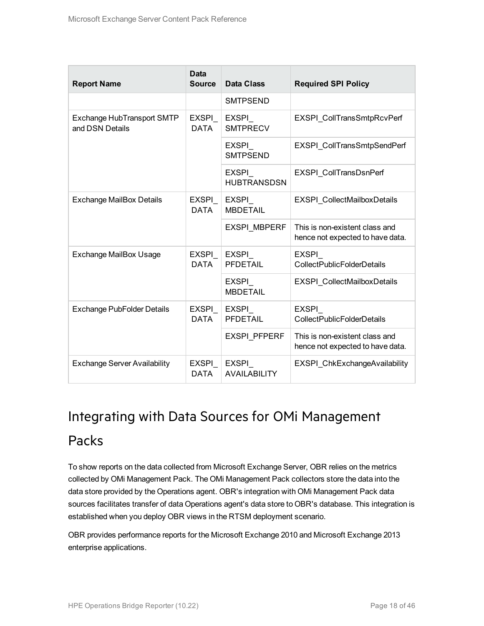| <b>Report Name</b>                                   | <b>Data</b><br><b>Source</b> | Data Class                          | <b>Required SPI Policy</b>                                         |
|------------------------------------------------------|------------------------------|-------------------------------------|--------------------------------------------------------------------|
|                                                      |                              | <b>SMTPSEND</b>                     |                                                                    |
| <b>Exchange HubTransport SMTP</b><br>and DSN Details | EXSPI<br><b>DATA</b>         | EXSPI<br><b>SMTPRECV</b>            | EXSPI CollTransSmtpRcvPerf                                         |
|                                                      |                              | EXSPI<br><b>SMTPSEND</b>            | EXSPI CollTransSmtpSendPerf                                        |
|                                                      |                              | EXSPI<br><b>HUBTRANSDSN</b>         | EXSPI_CollTransDsnPerf                                             |
| <b>Exchange MailBox Details</b>                      | EXSPI<br>DATA                | <b>EXSPI</b><br><b>MBDETAIL</b>     | <b>EXSPI CollectMailboxDetails</b>                                 |
|                                                      |                              | <b>EXSPI MBPERF</b>                 | This is non-existent class and<br>hence not expected to have data. |
| <b>Exchange MailBox Usage</b>                        | EXSPI<br><b>DATA</b>         | EXSPI<br><b>PFDETAIL</b>            | EXSPI<br><b>CollectPublicFolderDetails</b>                         |
|                                                      |                              | EXSPI<br><b>MBDETAIL</b>            | <b>EXSPI CollectMailboxDetails</b>                                 |
| <b>Exchange PubFolder Details</b>                    | EXSPI<br><b>DATA</b>         | EXSPI<br>PFDETAIL                   | <b>EXSPI</b><br><b>CollectPublicFolderDetails</b>                  |
|                                                      |                              | <b>EXSPI PFPERF</b>                 | This is non-existent class and<br>hence not expected to have data. |
| <b>Exchange Server Availability</b>                  | EXSPI<br>DATA                | <b>EXSPI</b><br><b>AVAILABILITY</b> | EXSPI ChkExchangeAvailability                                      |

# <span id="page-17-0"></span>Integrating with Data Sources for OMi Management Packs

To show reports on the data collected from Microsoft Exchange Server, OBR relies on the metrics collected by OMi Management Pack. The OMi Management Pack collectors store the data into the data store provided by the Operations agent. OBR's integration with OMi Management Pack data sources facilitates transfer of data Operations agent's data store to OBR's database. This integration is established when you deploy OBR views in the RTSM deployment scenario.

OBR provides performance reports for the Microsoft Exchange 2010 and Microsoft Exchange 2013 enterprise applications.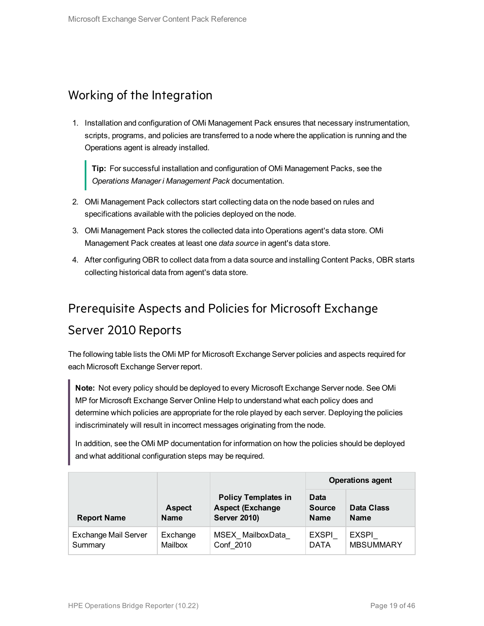#### <span id="page-18-0"></span>Working of the Integration

1. Installation and configuration of OMi Management Pack ensures that necessary instrumentation, scripts, programs, and policies are transferred to a node where the application is running and the Operations agent is already installed.

**Tip:** For successful installation and configuration of OMi Management Packs, see the *Operations Manager i Management Pack* documentation.

- 2. OMi Management Pack collectors start collecting data on the node based on rules and specifications available with the policies deployed on the node.
- 3. OMi Management Pack stores the collected data into Operations agent's data store. OMi Management Pack creates at least one *data source* in agent's data store.
- 4. After configuring OBR to collect data from a data source and installing Content Packs, OBR starts collecting historical data from agent's data store.

### <span id="page-18-1"></span>Prerequisite Aspects and Policies for Microsoft Exchange

#### Server 2010 Reports

The following table lists the OMi MP for Microsoft Exchange Server policies and aspects required for each Microsoft Exchange Server report.

**Note:** Not every policy should be deployed to every Microsoft Exchange Server node. See OMi MP for Microsoft Exchange Server Online Help to understand what each policy does and determine which policies are appropriate for the role played by each server. Deploying the policies indiscriminately will result in incorrect messages originating from the node.

In addition, see the OMi MP documentation for information on how the policies should be deployed and what additional configuration steps may be required.

|                                        | <b>Operations agent</b>      |                                                                              |                                      |                                  |
|----------------------------------------|------------------------------|------------------------------------------------------------------------------|--------------------------------------|----------------------------------|
| <b>Report Name</b>                     | <b>Aspect</b><br><b>Name</b> | <b>Policy Templates in</b><br><b>Aspect (Exchange</b><br><b>Server 2010)</b> | Data<br><b>Source</b><br><b>Name</b> | <b>Data Class</b><br><b>Name</b> |
| <b>Exchange Mail Server</b><br>Summary | Exchange<br>Mailbox          | MSEX MailboxData<br>Conf 2010                                                | <b>EXSPI</b><br><b>DATA</b>          | <b>EXSPI</b><br><b>MBSUMMARY</b> |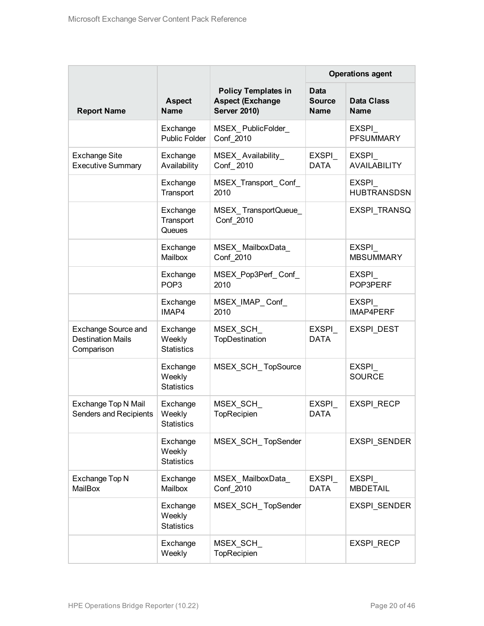|                                                                      |                                         |                                                                              |                                             | <b>Operations agent</b>             |
|----------------------------------------------------------------------|-----------------------------------------|------------------------------------------------------------------------------|---------------------------------------------|-------------------------------------|
| <b>Report Name</b>                                                   | <b>Aspect</b><br><b>Name</b>            | <b>Policy Templates in</b><br><b>Aspect (Exchange</b><br><b>Server 2010)</b> | <b>Data</b><br><b>Source</b><br><b>Name</b> | <b>Data Class</b><br><b>Name</b>    |
|                                                                      | Exchange<br><b>Public Folder</b>        | MSEX_PublicFolder_<br>Conf 2010                                              |                                             | EXSPI<br><b>PFSUMMARY</b>           |
| <b>Exchange Site</b><br><b>Executive Summary</b>                     | Exchange<br>Availability                | MSEX_Availability_<br>Conf 2010                                              | <b>EXSPI</b><br><b>DATA</b>                 | <b>EXSPI</b><br><b>AVAILABILITY</b> |
|                                                                      | Exchange<br>Transport                   | MSEX_Transport_Conf_<br>2010                                                 |                                             | EXSPI<br><b>HUBTRANSDSN</b>         |
|                                                                      | Exchange<br>Transport<br>Queues         | MSEX_TransportQueue_<br>Conf 2010                                            |                                             | EXSPI_TRANSQ                        |
|                                                                      | Exchange<br>Mailbox                     | MSEX_MailboxData_<br>Conf 2010                                               |                                             | EXSPI<br><b>MBSUMMARY</b>           |
|                                                                      | Exchange<br>POP <sub>3</sub>            | MSEX_Pop3Perf_Conf_<br>2010                                                  |                                             | EXSPI<br>POP3PERF                   |
|                                                                      | Exchange<br>IMAP4                       | MSEX_IMAP_Conf_<br>2010                                                      |                                             | EXSPI<br><b>IMAP4PERF</b>           |
| <b>Exchange Source and</b><br><b>Destination Mails</b><br>Comparison | Exchange<br>Weekly<br><b>Statistics</b> | MSEX_SCH_<br>TopDestination                                                  | EXSPI<br><b>DATA</b>                        | EXSPI_DEST                          |
|                                                                      | Exchange<br>Weekly<br><b>Statistics</b> | MSEX_SCH_TopSource                                                           |                                             | <b>EXSPI</b><br><b>SOURCE</b>       |
| Exchange Top N Mail<br><b>Senders and Recipients</b>                 | Exchange<br>Weekly<br><b>Statistics</b> | MSEX_SCH_<br>TopRecipien                                                     | EXSPI<br><b>DATA</b>                        | <b>EXSPI RECP</b>                   |
|                                                                      | Exchange<br>Weekly<br><b>Statistics</b> | MSEX SCH TopSender                                                           |                                             | EXSPI_SENDER                        |
| Exchange Top N<br>MailBox                                            | Exchange<br>Mailbox                     | MSEX_MailboxData_<br>Conf 2010                                               | EXSPI_<br><b>DATA</b>                       | EXSPI<br><b>MBDETAIL</b>            |
|                                                                      | Exchange<br>Weekly<br><b>Statistics</b> | MSEX_SCH_TopSender                                                           |                                             | EXSPI_SENDER                        |
|                                                                      | Exchange<br>Weekly                      | MSEX_SCH_<br>TopRecipien                                                     |                                             | EXSPI_RECP                          |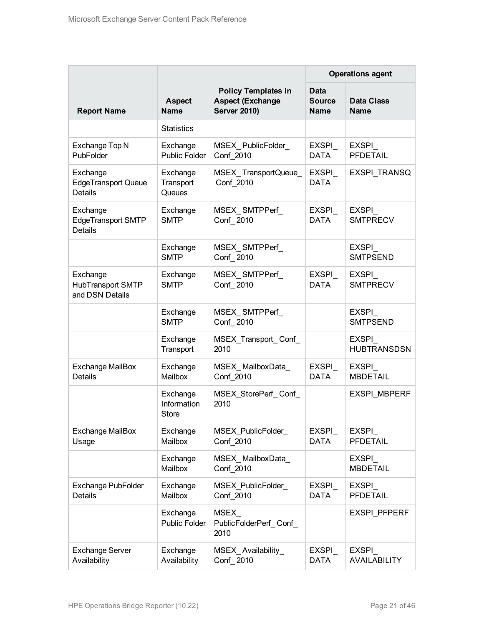|                                                          |                                         |                                                                              |                                             | <b>Operations agent</b>          |
|----------------------------------------------------------|-----------------------------------------|------------------------------------------------------------------------------|---------------------------------------------|----------------------------------|
| <b>Report Name</b>                                       | <b>Aspect</b><br><b>Name</b>            | <b>Policy Templates in</b><br><b>Aspect (Exchange</b><br><b>Server 2010)</b> | <b>Data</b><br><b>Source</b><br><b>Name</b> | <b>Data Class</b><br><b>Name</b> |
|                                                          | <b>Statistics</b>                       |                                                                              |                                             |                                  |
| Exchange Top N<br>PubFolder                              | Exchange<br><b>Public Folder</b>        | MSEX_PublicFolder_<br>Conf 2010                                              | <b>EXSPI</b><br><b>DATA</b>                 | <b>EXSPI</b><br><b>PFDETAIL</b>  |
| Exchange<br><b>EdgeTransport Queue</b><br><b>Details</b> | Exchange<br>Transport<br>Queues         | MSEX_TransportQueue_<br>Conf 2010                                            | <b>EXSPI</b><br><b>DATA</b>                 | EXSPI_TRANSQ                     |
| Exchange<br><b>EdgeTransport SMTP</b><br><b>Details</b>  | Exchange<br><b>SMTP</b>                 | MSEX_SMTPPerf_<br>Conf 2010                                                  | EXSPI<br><b>DATA</b>                        | EXSPI<br><b>SMTPRECV</b>         |
|                                                          | Exchange<br><b>SMTP</b>                 | MSEX SMTPPerf<br>Conf 2010                                                   |                                             | EXSPI<br><b>SMTPSEND</b>         |
| Exchange<br>HubTransport SMTP<br>and DSN Details         | Exchange<br><b>SMTP</b>                 | MSEX SMTPPerf<br>Conf 2010                                                   | EXSPI<br><b>DATA</b>                        | EXSPI<br><b>SMTPRECV</b>         |
|                                                          | Exchange<br><b>SMTP</b>                 | MSEX_SMTPPerf_<br>Conf 2010                                                  |                                             | EXSPI<br><b>SMTPSEND</b>         |
|                                                          | Exchange<br>Transport                   | MSEX_Transport_Conf_<br>2010                                                 |                                             | EXSPI<br><b>HUBTRANSDSN</b>      |
| <b>Exchange MailBox</b><br>Details                       | Exchange<br>Mailbox                     | MSEX_MailboxData_<br>Conf 2010                                               | <b>EXSPI</b><br><b>DATA</b>                 | EXSPI<br><b>MBDETAIL</b>         |
|                                                          | Exchange<br>Information<br><b>Store</b> | MSEX_StorePerf_Conf_<br>2010                                                 |                                             | <b>EXSPI MBPERF</b>              |
| <b>Exchange MailBox</b><br>Usage                         | Exchange<br>Mailbox                     | <b>MSEX PublicFolder</b><br>Conf 2010                                        | EXSPI<br><b>DATA</b>                        | EXSPI<br><b>PFDETAIL</b>         |
|                                                          | Exchange<br>Mailbox                     | MSEX_MailboxData_<br>Conf 2010                                               |                                             | EXSPI<br><b>MBDETAIL</b>         |
| <b>Exchange PubFolder</b><br>Details                     | Exchange<br>Mailbox                     | MSEX_PublicFolder_<br>Conf 2010                                              | EXSPI<br><b>DATA</b>                        | EXSPI<br><b>PFDETAIL</b>         |
|                                                          | Exchange<br><b>Public Folder</b>        | MSEX<br>PublicFolderPerf Conf<br>2010                                        |                                             | <b>EXSPI PFPERF</b>              |
| <b>Exchange Server</b><br>Availability                   | Exchange<br>Availability                | MSEX_Availability_<br>Conf 2010                                              | EXSPI<br><b>DATA</b>                        | EXSPI<br><b>AVAILABILITY</b>     |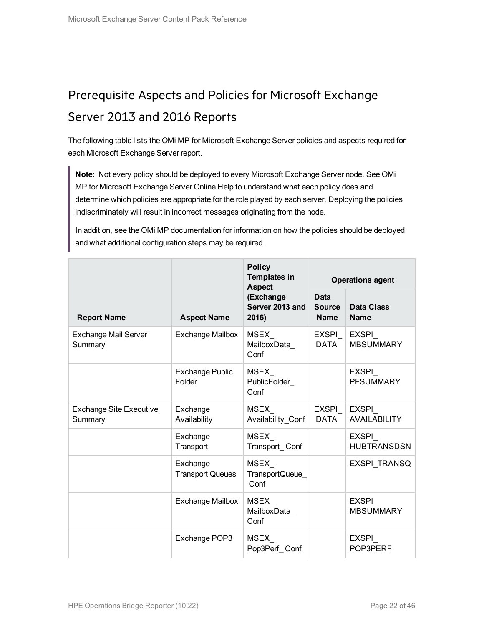## <span id="page-21-0"></span>Prerequisite Aspects and Policies for Microsoft Exchange Server 2013 and 2016 Reports

The following table lists the OMi MP for Microsoft Exchange Server policies and aspects required for each Microsoft Exchange Server report.

**Note:** Not every policy should be deployed to every Microsoft Exchange Server node. See OMi MP for Microsoft Exchange Server Online Help to understand what each policy does and determine which policies are appropriate for the role played by each server. Deploying the policies indiscriminately will result in incorrect messages originating from the node.

In addition, see the OMi MP documentation for information on how the policies should be deployed and what additional configuration steps may be required.

| <b>Policy</b><br><b>Templates in</b><br><b>Aspect</b> |                                     | <b>Operations agent</b>               |                                             |                                  |
|-------------------------------------------------------|-------------------------------------|---------------------------------------|---------------------------------------------|----------------------------------|
| <b>Report Name</b>                                    | <b>Aspect Name</b>                  | (Exchange<br>Server 2013 and<br>2016) | <b>Data</b><br><b>Source</b><br><b>Name</b> | Data Class<br><b>Name</b>        |
| <b>Exchange Mail Server</b><br>Summary                | <b>Exchange Mailbox</b>             | MSEX<br>MailboxData_<br>Conf          | EXSPI_<br><b>DATA</b>                       | <b>EXSPI</b><br><b>MBSUMMARY</b> |
|                                                       | <b>Exchange Public</b><br>Folder    | <b>MSEX</b><br>PublicFolder_<br>Conf  |                                             | EXSPI<br><b>PFSUMMARY</b>        |
| <b>Exchange Site Executive</b><br>Summary             | Exchange<br>Availability            | MSEX<br>Availability Conf             | <b>EXSPI</b><br><b>DATA</b>                 | EXSPI<br><b>AVAILABILITY</b>     |
|                                                       | Exchange<br>Transport               | MSEX<br>Transport_Conf                |                                             | EXSPI<br><b>HUBTRANSDSN</b>      |
|                                                       | Exchange<br><b>Transport Queues</b> | MSEX<br>TransportQueue_<br>Conf       |                                             | EXSPI TRANSQ                     |
|                                                       | <b>Exchange Mailbox</b>             | MSEX_<br>MailboxData<br>Conf          |                                             | EXSPI<br><b>MBSUMMARY</b>        |
|                                                       | Exchange POP3                       | MSEX_<br>Pop3Perf Conf                |                                             | EXSPI<br>POP3PERF                |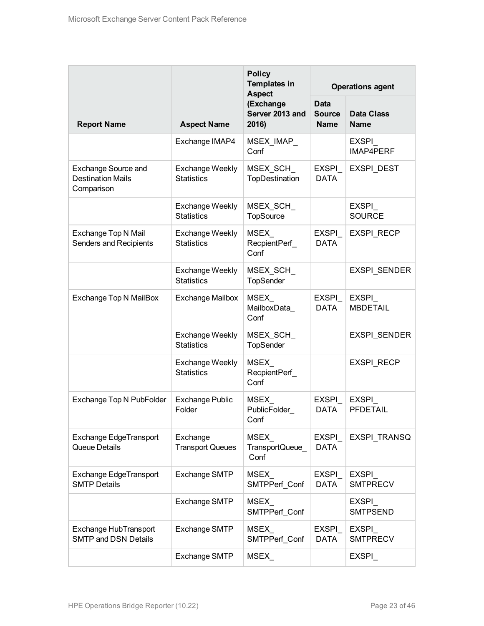|                                                                      |                                             | <b>Policy</b><br><b>Templates in</b><br><b>Aspect</b> |                                             | <b>Operations agent</b>          |  |  |
|----------------------------------------------------------------------|---------------------------------------------|-------------------------------------------------------|---------------------------------------------|----------------------------------|--|--|
| <b>Report Name</b>                                                   | <b>Aspect Name</b>                          | (Exchange<br>Server 2013 and<br>2016)                 | <b>Data</b><br><b>Source</b><br><b>Name</b> | <b>Data Class</b><br><b>Name</b> |  |  |
|                                                                      | Exchange IMAP4                              | MSEX_IMAP_<br>Conf                                    |                                             | EXSPI<br>IMAP4PERF               |  |  |
| <b>Exchange Source and</b><br><b>Destination Mails</b><br>Comparison | <b>Exchange Weekly</b><br><b>Statistics</b> | MSEX SCH<br>TopDestination                            | <b>EXSPI</b><br><b>DATA</b>                 | <b>EXSPI DEST</b>                |  |  |
|                                                                      | <b>Exchange Weekly</b><br><b>Statistics</b> | MSEX_SCH_<br><b>TopSource</b>                         |                                             | EXSPI<br><b>SOURCE</b>           |  |  |
| Exchange Top N Mail<br>Senders and Recipients                        | <b>Exchange Weekly</b><br><b>Statistics</b> | <b>MSEX</b><br>RecpientPerf_<br>Conf                  | EXSPI<br><b>DATA</b>                        | <b>EXSPI RECP</b>                |  |  |
|                                                                      | <b>Exchange Weekly</b><br><b>Statistics</b> | MSEX SCH<br>TopSender                                 |                                             | <b>EXSPI SENDER</b>              |  |  |
| Exchange Top N MailBox                                               | <b>Exchange Mailbox</b>                     | MSEX_<br>MailboxData<br>Conf                          | EXSPI<br><b>DATA</b>                        | EXSPI<br><b>MBDETAIL</b>         |  |  |
|                                                                      | <b>Exchange Weekly</b><br><b>Statistics</b> | MSEX_SCH_<br>TopSender                                |                                             | EXSPI_SENDER                     |  |  |
|                                                                      | <b>Exchange Weekly</b><br><b>Statistics</b> | MSEX<br>RecpientPerf<br>Conf                          |                                             | EXSPI_RECP                       |  |  |
| Exchange Top N PubFolder                                             | <b>Exchange Public</b><br>Folder            | MSEX<br>PublicFolder<br>Conf                          | EXSPI<br><b>DATA</b>                        | <b>EXSPI</b><br><b>PFDETAIL</b>  |  |  |
| Exchange EdgeTransport<br>Queue Details                              | Exchange<br><b>Transport Queues</b>         | <b>MSEX</b><br><b>TransportQueue</b><br>Conf          | <b>EXSPI</b><br><b>DATA</b>                 | EXSPI TRANSQ                     |  |  |
| Exchange EdgeTransport<br><b>SMTP Details</b>                        | <b>Exchange SMTP</b>                        | MSEX_<br>SMTPPerf Conf                                | EXSPI_<br><b>DATA</b>                       | <b>EXSPI</b><br><b>SMTPRECV</b>  |  |  |
|                                                                      | Exchange SMTP                               | MSEX<br>SMTPPerf Conf                                 |                                             | EXSPI<br><b>SMTPSEND</b>         |  |  |
| Exchange HubTransport<br><b>SMTP and DSN Details</b>                 | Exchange SMTP                               | MSEX<br>SMTPPerf Conf                                 | EXSPI<br><b>DATA</b>                        | EXSPI<br><b>SMTPRECV</b>         |  |  |
|                                                                      | Exchange SMTP                               | MSEX                                                  |                                             | EXSPI                            |  |  |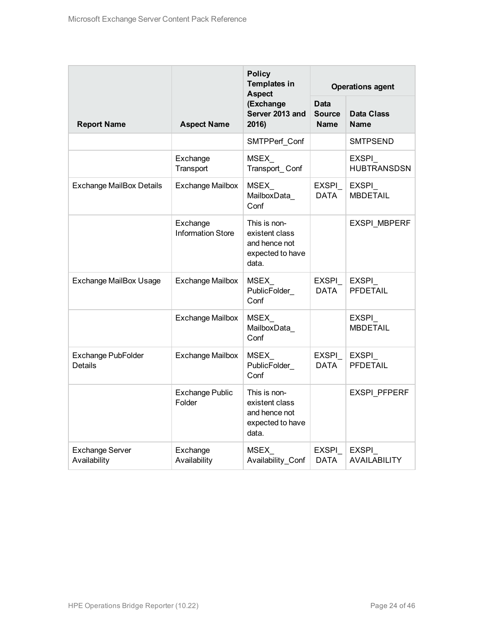|                                        | <b>Policy</b><br><b>Templates in</b><br><b>Aspect</b> |                                                                              |                                      | <b>Operations agent</b>          |
|----------------------------------------|-------------------------------------------------------|------------------------------------------------------------------------------|--------------------------------------|----------------------------------|
| <b>Report Name</b>                     | <b>Aspect Name</b>                                    | (Exchange<br>Server 2013 and<br>2016)                                        | <b>Data</b><br><b>Source</b><br>Name | <b>Data Class</b><br><b>Name</b> |
|                                        |                                                       | SMTPPerf Conf                                                                |                                      | SMTPSEND                         |
|                                        | Exchange<br>Transport                                 | MSEX_<br>Transport_Conf                                                      |                                      | EXSPI<br><b>HUBTRANSDSN</b>      |
| <b>Exchange MailBox Details</b>        | <b>Exchange Mailbox</b>                               | MSEX_<br>MailboxData_<br>Conf                                                | EXSPI_<br><b>DATA</b>                | EXSPI_<br><b>MBDETAIL</b>        |
|                                        | Exchange<br><b>Information Store</b>                  | This is non-<br>existent class<br>and hence not<br>expected to have<br>data. |                                      | <b>EXSPI MBPERF</b>              |
| <b>Exchange MailBox Usage</b>          | <b>Exchange Mailbox</b>                               | <b>MSEX</b><br>PublicFolder<br>Conf                                          | EXSPI_<br><b>DATA</b>                | <b>EXSPI</b><br><b>PFDETAIL</b>  |
|                                        | <b>Exchange Mailbox</b>                               | MSEX<br>MailboxData_<br>Conf                                                 |                                      | EXSPI<br><b>MBDETAIL</b>         |
| Exchange PubFolder<br>Details          | <b>Exchange Mailbox</b>                               | MSEX_<br>PublicFolder<br>Conf                                                | EXSPI_<br><b>DATA</b>                | <b>EXSPI</b><br><b>PFDETAIL</b>  |
|                                        | <b>Exchange Public</b><br>Folder                      | This is non-<br>existent class<br>and hence not<br>expected to have<br>data. |                                      | <b>EXSPI PFPERF</b>              |
| <b>Exchange Server</b><br>Availability | Exchange<br>Availability                              | <b>MSEX</b><br>Availability_Conf                                             | <b>EXSPI</b><br><b>DATA</b>          | EXSPI_<br><b>AVAILABILITY</b>    |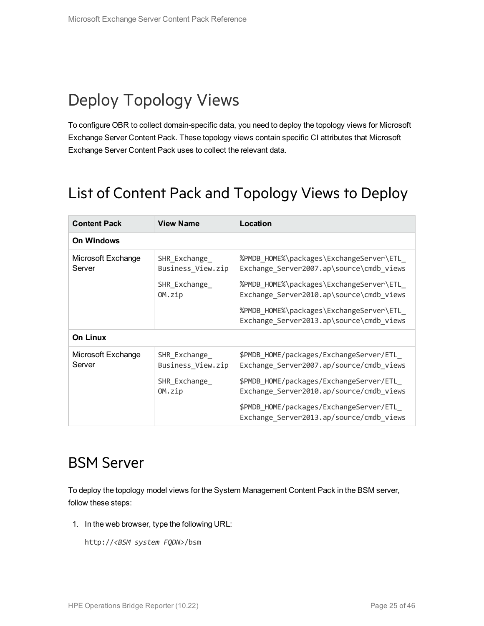# <span id="page-24-0"></span>Deploy Topology Views

To configure OBR to collect domain-specific data, you need to deploy the topology views for Microsoft Exchange Server Content Pack. These topology views contain specific CI attributes that Microsoft Exchange Server Content Pack uses to collect the relevant data.

## <span id="page-24-1"></span>List of Content Pack and Topology Views to Deploy

| <b>Content Pack</b>          | <b>View Name</b>                                             | Location                                                                                                                                                                                                                                                             |
|------------------------------|--------------------------------------------------------------|----------------------------------------------------------------------------------------------------------------------------------------------------------------------------------------------------------------------------------------------------------------------|
| <b>On Windows</b>            |                                                              |                                                                                                                                                                                                                                                                      |
| Microsoft Exchange<br>Server | SHR Exchange<br>Business_View.zip<br>SHR_Exchange_<br>OM.zip | %PMDB_HOME%\packages\ExchangeServer\ETL_<br>Exchange_Server2007.ap\source\cmdb_views<br>%PMDB_HOME%\packages\ExchangeServer\ETL_<br>Exchange_Server2010.ap\source\cmdb_views<br>%PMDB_HOME%\packages\ExchangeServer\ETL_<br>Exchange Server2013.ap\source\cmdb views |
| <b>On Linux</b>              |                                                              |                                                                                                                                                                                                                                                                      |
| Microsoft Exchange<br>Server | SHR Exchange<br>Business View.zip<br>SHR Exchange<br>OM.zip  | \$PMDB HOME/packages/ExchangeServer/ETL<br>Exchange Server2007.ap/source/cmdb views<br>\$PMDB HOME/packages/ExchangeServer/ETL<br>Exchange Server2010.ap/source/cmdb views<br>\$PMDB_HOME/packages/ExchangeServer/ETL_<br>Exchange_Server2013.ap/source/cmdb_views   |

### <span id="page-24-2"></span>BSM Server

To deploy the topology model views for the System Management Content Pack in the BSM server, follow these steps:

1. In the web browser, type the following URL:

http://*<BSM system FQDN>*/bsm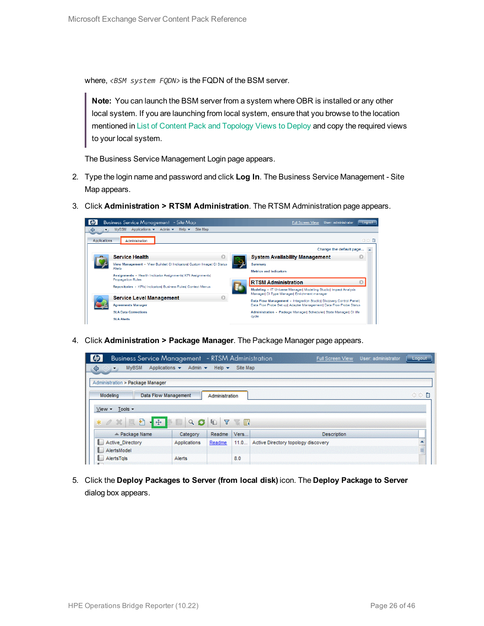where, <BSM system FQDN> is the FQDN of the BSM server.

**Note:** You can launch the BSM server from a system where OBR is installed or any other local system. If you are launching from local system, ensure that you browse to the location mentioned in List of Content Pack and [Topology](#page-24-1) Views to Deploy and copy the required views to your local system.

The Business Service Management Login page appears.

- 2. Type the login name and password and click **Log In**. The Business Service Management Site Map appears.
- 3. Click **Administration > RTSM Administration**. The RTSM Administration page appears.



4. Click **Administration > Package Manager**. The Package Manager page appears.

| $\bm{\phi}$<br><b>Business Service Management</b> - RTSM Administration                      |               |                           |              | User: administrator<br><b>Full Screen View</b> | Logout |
|----------------------------------------------------------------------------------------------|---------------|---------------------------|--------------|------------------------------------------------|--------|
| Applications v<br><b>MyBSM</b><br>♦<br>$\left\langle \left. \right. \right. \right\rangle$ . | Admin $\star$ | Help $\blacktriangledown$ | Site Map     |                                                |        |
| Administration > Package Manager                                                             |               |                           |              |                                                |        |
| <b>Data Flow Management</b><br>Modeling                                                      |               | Administration            |              |                                                | ○○■    |
| Tools -<br>$View -$                                                                          |               |                           |              |                                                |        |
| 日一季<br>$*$ $\alpha$ $\times$ $\alpha$                                                        | Q             | G<br>$\sqrt{2}$           | <b>TABLE</b> |                                                |        |
| ≐ Package Name                                                                               | Category      | Readme                    | Vers         | <b>Description</b>                             |        |
| <b>Active Directory</b>                                                                      | Applications  | Readme                    | 11.0         | Active Directory topology discovery            |        |
| AlertsModel<br><b>B</b>                                                                      |               |                           |              |                                                | E      |
| AlertsTals                                                                                   | Alerts        |                           | 8.0          |                                                |        |
|                                                                                              |               |                           |              |                                                |        |

5. Click the **Deploy Packages to Server (from local disk)** icon. The **Deploy Package to Server** dialog box appears.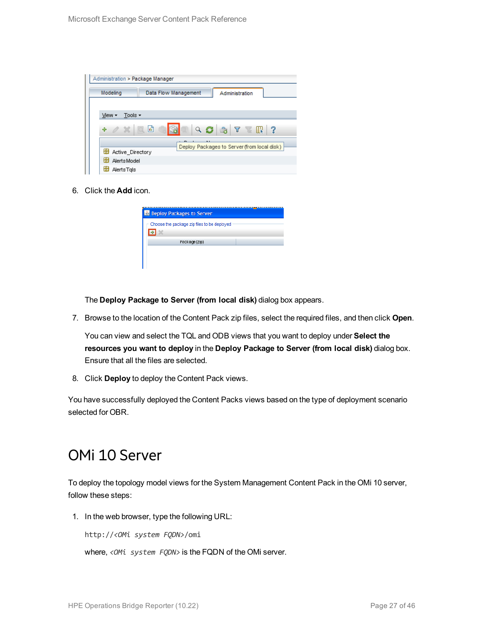| Administration > Package Manager         |                                                                                                                                                  |
|------------------------------------------|--------------------------------------------------------------------------------------------------------------------------------------------------|
| Modeling                                 | Data Flow Management<br>Administration                                                                                                           |
|                                          |                                                                                                                                                  |
| Tools $\overline{\phantom{a}}$<br>View - |                                                                                                                                                  |
| $\alpha \times \alpha$<br>÷              | 圃<br>$Q \n  Q \n  Q \n  Q \n  Q \n  Q \n  Q \n  Q \n  Q \n  Q \n  Q \n  Q \n  Q \n  Q \n  Q \n  Q \n  Q \n  Q \n  Q \n  Q \n  Q \n  Q \n  Q-?W.$ |
|                                          | Deploy Packages to Server (from local disk)                                                                                                      |
| Active Directory                         |                                                                                                                                                  |
| H<br><b>AlertsModel</b>                  |                                                                                                                                                  |
| AlertsTals                               |                                                                                                                                                  |

6. Click the **Add** icon.

| <b>B</b> Deploy Packages to Server          |  |
|---------------------------------------------|--|
| Choose the package zip files to be deployed |  |
| Package(zip)                                |  |
|                                             |  |

The **Deploy Package to Server (from local disk)** dialog box appears.

7. Browse to the location of the Content Pack zip files, select the required files, and then click **Open**.

You can view and select the TQL and ODB views that you want to deploy under **Select the resources you want to deploy** in the **Deploy Package to Server (from local disk)** dialog box. Ensure that all the files are selected.

8. Click **Deploy** to deploy the Content Pack views.

<span id="page-26-0"></span>You have successfully deployed the Content Packs views based on the type of deployment scenario selected for OBR.

### OMi 10 Server

To deploy the topology model views for the System Management Content Pack in the OMi 10 server, follow these steps:

1. In the web browser, type the following URL:

http://*<OMi system FQDN>*/omi

where, *<OMi system FQDN>* is the FQDN of the OMi server.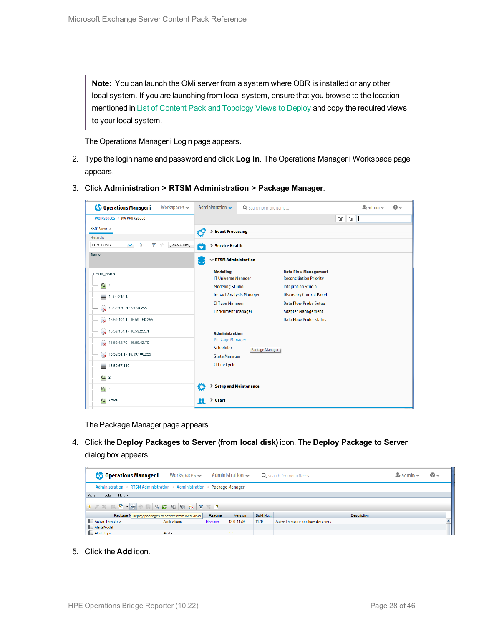**Note:** You can launch the OMi server from a system where OBR is installed or any other local system. If you are launching from local system, ensure that you browse to the location mentioned in List of Content Pack and [Topology](#page-24-1) Views to Deploy and copy the required views to your local system.

The Operations Manager i Login page appears.

- 2. Type the login name and password and click **Log In**. The Operations Manager i Workspace page appears.
- 3. Click **Administration > RTSM Administration > Package Manager**.

| <b>Operations Manager i</b><br>Workspaces $\smile$                        | Administration $\sim$                                | Q search for menu items       |                                                               | $\Delta$ admin $\sim$ | $\Omega$ |  |  |  |
|---------------------------------------------------------------------------|------------------------------------------------------|-------------------------------|---------------------------------------------------------------|-----------------------|----------|--|--|--|
| Workspaces > My Workspace                                                 |                                                      | Ŧ.<br>E                       |                                                               |                       |          |  |  |  |
| 360° View x                                                               |                                                      | <b>Event Processing</b><br>ł9 |                                                               |                       |          |  |  |  |
| Hierarchy                                                                 |                                                      |                               |                                                               |                       |          |  |  |  |
| Þ<br>[Select a Filter]<br>EUM_BSMR<br>×.<br>$\overline{\mathbf{Y}}$<br>7/ | ô<br>> Service Health                                |                               |                                                               |                       |          |  |  |  |
| Name                                                                      | É                                                    | $\sim$ RTSM Administration    |                                                               |                       |          |  |  |  |
| E EUM_BSMR                                                                | <b>Modeling</b><br><b>IT Universe Manager</b>        |                               | <b>Data Flow Management</b><br><b>Reconciliation Priority</b> |                       |          |  |  |  |
| $\bigcirc$ 1                                                              | <b>Modeling Studio</b>                               |                               | <b>Integration Studio</b>                                     |                       |          |  |  |  |
| U<br>16.55.245.42                                                         | <b>Impact Analysis Manager</b>                       |                               | <b>Discovery Control Panel</b>                                |                       |          |  |  |  |
| $\bigotimes$ 16.59.1.1 - 16.59.50.255                                     | <b>CI Type Manager</b><br><b>Enrichment manager</b>  |                               | <b>Data Flow Probe Setup</b><br><b>Adapter Management</b>     |                       |          |  |  |  |
| $\bigotimes$ 16.59.101.1 - 16.59.150.255                                  |                                                      |                               | <b>Data Flow Probe Status</b>                                 |                       |          |  |  |  |
| $\bigotimes$ 16.59.151.1 - 16.59.255.1                                    | <b>Administration</b>                                |                               |                                                               |                       |          |  |  |  |
| $\bigcirc$ 16.59.42.70 - 16.59.42.70                                      | Package Manager                                      |                               |                                                               |                       |          |  |  |  |
| $\bigotimes$ 16.59.51.1 - 16.59.100.255                                   | Scheduler<br>Package Manager<br><b>State Manager</b> |                               |                                                               |                       |          |  |  |  |
| 16.59.67.149<br>٢                                                         | <b>CI Life Cycle</b>                                 |                               |                                                               |                       |          |  |  |  |
| $\left[ \bigcirc \right]$ 2                                               |                                                      |                               |                                                               |                       |          |  |  |  |
| $\bigcirc$ 4                                                              | ٥<br>> Setup and Maintenance                         |                               |                                                               |                       |          |  |  |  |
| $\bullet$<br>Active                                                       | > Users<br>22                                        |                               |                                                               |                       |          |  |  |  |

The Package Manager page appears.

4. Click the **Deploy Packages to Server (from local disk)** icon. The **Deploy Package to Server** dialog box appears.

| <b><i>OD</i></b> Operations Manager i                                                                                                                                                                                                                                                                                                                                                                                                                                                                                                 | Workspaces $\sim$ |        | Administration $\sim$ |          | Q search for menu items             | $\blacktriangle$ r admin $\blacktriangleright$ | $\odot$ |
|---------------------------------------------------------------------------------------------------------------------------------------------------------------------------------------------------------------------------------------------------------------------------------------------------------------------------------------------------------------------------------------------------------------------------------------------------------------------------------------------------------------------------------------|-------------------|--------|-----------------------|----------|-------------------------------------|------------------------------------------------|---------|
| Administration > RTSM Administration > Administration > Package Manager                                                                                                                                                                                                                                                                                                                                                                                                                                                               |                   |        |                       |          |                                     |                                                |         |
| View - Tools - Help -                                                                                                                                                                                                                                                                                                                                                                                                                                                                                                                 |                   |        |                       |          |                                     |                                                |         |
| $* \angle \times \boxed{0} \quad \Rightarrow \quad \text{if} \quad \text{if} \quad \text{if} \quad \text{if} \quad \text{if} \quad \text{if} \quad \text{if} \quad \text{if} \quad \text{if} \quad \text{if} \quad \text{if} \quad \text{if} \quad \text{if} \quad \text{if} \quad \text{if} \quad \text{if} \quad \text{if} \quad \text{if} \quad \text{if} \quad \text{if} \quad \text{if} \quad \text{if} \quad \text{if} \quad \text{if} \quad \text{if} \quad \text{if} \quad \text{if} \quad \text{if} \quad \text{if} \quad \$ |                   |        |                       |          |                                     |                                                |         |
| ≐ Package N Deploy packages to server (from local disk)                                                                                                                                                                                                                                                                                                                                                                                                                                                                               |                   | Readme | Version               | Build Nu | <b>Description</b>                  |                                                |         |
| Active_Directory                                                                                                                                                                                                                                                                                                                                                                                                                                                                                                                      | Applications      | Readme | 13.0-1179             | 1179     | Active Directory topology discovery |                                                |         |
| AlertsModel                                                                                                                                                                                                                                                                                                                                                                                                                                                                                                                           |                   |        |                       |          |                                     |                                                |         |
| AlertsTqls                                                                                                                                                                                                                                                                                                                                                                                                                                                                                                                            | Alerts            |        | 8.0                   |          |                                     |                                                |         |

5. Click the **Add** icon.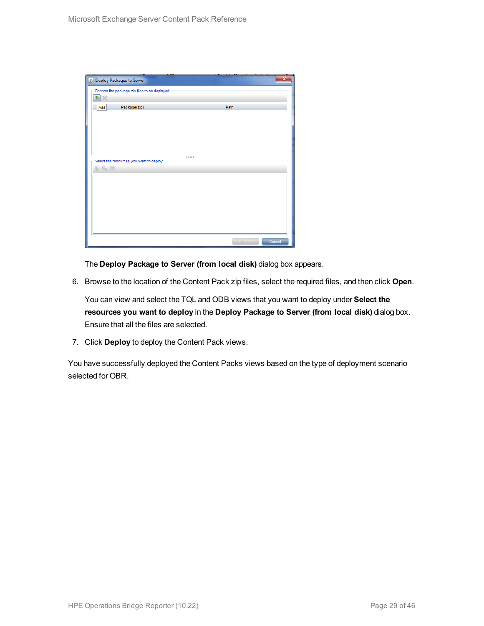| Deploy Packages to Server                   | $\overline{\mathbf{x}}$ |  |
|---------------------------------------------|-------------------------|--|
| Choose the package zip files to be deployed |                         |  |
| 壘<br>$\chi$                                 |                         |  |
| Package(zip)<br>Add                         | Path                    |  |
|                                             |                         |  |
|                                             |                         |  |
|                                             |                         |  |
|                                             |                         |  |
|                                             |                         |  |
| Select the resources you want to deploy     |                         |  |
| 名马路                                         |                         |  |
|                                             |                         |  |
|                                             |                         |  |
|                                             |                         |  |
|                                             |                         |  |
|                                             |                         |  |
|                                             |                         |  |
|                                             |                         |  |
|                                             | Cancel<br><b>Deploy</b> |  |

The **Deploy Package to Server (from local disk)** dialog box appears.

6. Browse to the location of the Content Pack zip files, select the required files, and then click **Open**.

You can view and select the TQL and ODB views that you want to deploy under **Select the resources you want to deploy** in the **Deploy Package to Server (from local disk)** dialog box. Ensure that all the files are selected.

7. Click **Deploy** to deploy the Content Pack views.

You have successfully deployed the Content Packs views based on the type of deployment scenario selected for OBR.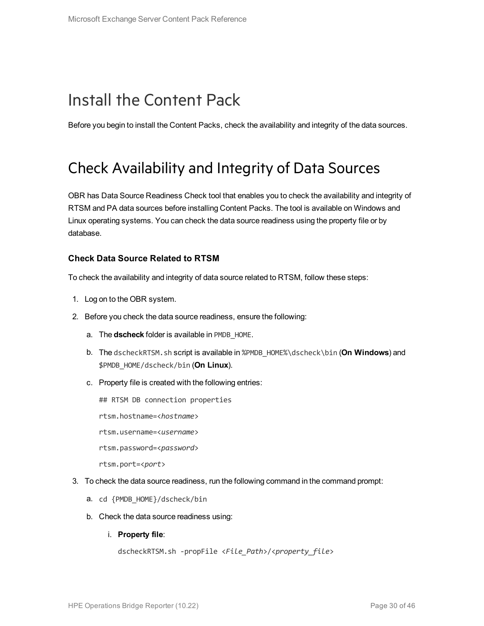# <span id="page-29-0"></span>Install the Content Pack

<span id="page-29-1"></span>Before you begin to install the Content Packs, check the availability and integrity of the data sources.

### Check Availability and Integrity of Data Sources

OBR has Data Source Readiness Check tool that enables you to check the availability and integrity of RTSM and PA data sources before installing Content Packs. The tool is available on Windows and Linux operating systems. You can check the data source readiness using the property file or by database.

#### **Check Data Source Related to RTSM**

To check the availability and integrity of data source related to RTSM, follow these steps:

- 1. Log on to the OBR system.
- 2. Before you check the data source readiness, ensure the following:
	- a. The **dscheck** folder is available in PMDB\_HOME.
	- b. The dscheckRTSM.sh script is available in %PMDB\_HOME%\dscheck\bin (**On Windows**) and \$PMDB\_HOME/dscheck/bin (**On Linux**).
	- c. Property file is created with the following entries:
		- ## RTSM DB connection properties
		- rtsm.hostname=<*hostname*>
		- rtsm.username=<*username*>
		- rtsm.password=<*password*>

rtsm.port=<*port*>

- 3. To check the data source readiness, run the following command in the command prompt:
	- a. cd {PMDB\_HOME}/dscheck/bin
	- b. Check the data source readiness using:
		- i. **Property file**:

```
dscheckRTSM.sh -propFile <File_Path>/<property_file>
```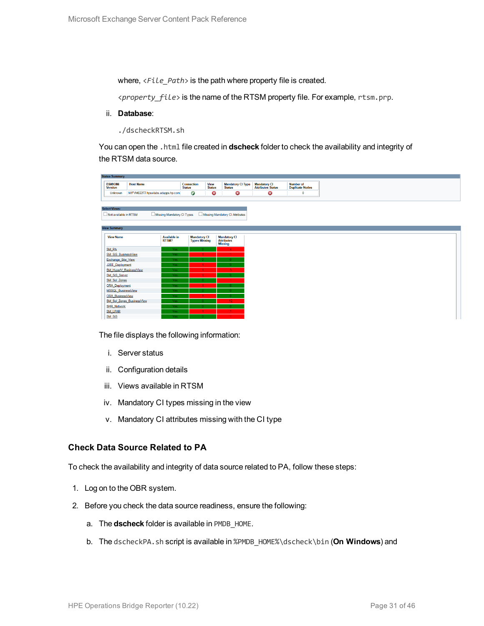where,  $\langle$ File Path> is the path where property file is created.

<*property\_file*> is the name of the RTSM property file. For example, rtsm.prp.

ii. **Database**:

./dscheckRTSM.sh

You can open the .html file created in **dscheck** folder to check the availability and integrity of the RTSM data source.

| <b>Status Summary</b>            |                                   |                     |                                             |                              |                                           |                                           |
|----------------------------------|-----------------------------------|---------------------|---------------------------------------------|------------------------------|-------------------------------------------|-------------------------------------------|
| <b>BSM/OMi</b><br><b>Version</b> | <b>Host Name</b>                  | <b>Status</b>       | Connection                                  | <b>View</b><br><b>Status</b> | <b>Mandatory CI Type</b><br><b>Status</b> | <b>Mandatory CI<br/>Attributes Status</b> |
| Unknown                          | IWFVM02277.hpswlabs.adapps.hp.com |                     | $\bullet$                                   | ☺                            | ☺                                         | 0                                         |
|                                  |                                   |                     |                                             |                              |                                           |                                           |
|                                  |                                   |                     |                                             |                              |                                           |                                           |
| <b>Select Views:</b>             |                                   |                     |                                             |                              |                                           |                                           |
| Not available in RTSM            | Missing Mandatory CI Types        |                     |                                             |                              | Missing Mandatory CI Attributes           |                                           |
|                                  |                                   |                     |                                             |                              |                                           |                                           |
| <b>View Summary</b>              |                                   |                     |                                             |                              |                                           |                                           |
|                                  |                                   |                     |                                             |                              |                                           |                                           |
| <b>View Name</b>                 | RTSM?                             | <b>Available in</b> | <b>Mandatory CI</b><br><b>Types Missing</b> |                              | <b>Mandatory CI</b><br><b>Attributes</b>  |                                           |
|                                  |                                   |                     |                                             |                              | <b>Missing</b>                            |                                           |
| SM PA                            |                                   | Yes.                |                                             |                              | $\mathbf{A}$                              |                                           |
| SM SiS BusinessView              |                                   | Yes:                |                                             |                              | $\blacktriangleleft$                      |                                           |
| Exchange Site View               |                                   | Yes.                |                                             |                              |                                           |                                           |
| J2EE_Deployment                  |                                   | Yes.                |                                             |                              |                                           |                                           |
| SM_HyperV_BusinessView           |                                   | Yes.                |                                             |                              | з.                                        |                                           |
| SM_SiS_Server                    |                                   | Yes.                |                                             |                              |                                           |                                           |
| SM Sol Zones                     |                                   | Yes.                |                                             |                              |                                           |                                           |
| <b>ORA</b> Deployment            |                                   | Yes:                |                                             |                              |                                           |                                           |
| MSSQL BusinessView               |                                   | Yes.                |                                             |                              |                                           |                                           |
| ORA BusinessView                 |                                   | Yes:                |                                             |                              |                                           |                                           |
|                                  | SM_Sol_Zones_BusinessView         | Yes:                |                                             |                              | 12 <sup>°</sup>                           |                                           |
| <b>SHR_Network</b>               |                                   | Yes.                |                                             |                              |                                           |                                           |
| <b>SM_LPAR</b>                   |                                   | Yes:                |                                             |                              |                                           |                                           |
| SM SiS                           |                                   | Yes.                |                                             |                              |                                           |                                           |

The file displays the following information:

- i. Server status
- ii. Configuration details
- iii. Views available in RTSM
- iv. Mandatory CI types missing in the view
- v. Mandatory CI attributes missing with the CI type

#### **Check Data Source Related to PA**

To check the availability and integrity of data source related to PA, follow these steps:

- 1. Log on to the OBR system.
- 2. Before you check the data source readiness, ensure the following:
	- a. The **dscheck** folder is available in PMDB\_HOME.
	- b. The dscheckPA.sh script is available in %PMDB\_HOME%\dscheck\bin (**On Windows**) and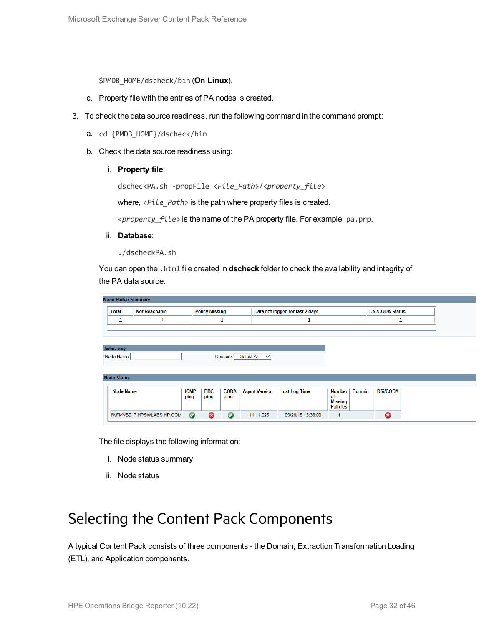\$PMDB\_HOME/dscheck/bin (**On Linux**).

- c. Property file with the entries of PA nodes is created.
- 3. To check the data source readiness, run the following command in the command prompt:
	- a. cd {PMDB\_HOME}/dscheck/bin
	- b. Check the data source readiness using:
		- i. **Property file**:

dscheckPA.sh -propFile <*File\_Path*>/<*property\_file*>

where,  $\langle$ File\_Path> is the path where property files is created.

<*property\_file*> is the name of the PA property file. For example, pa.prp.

- ii. **Database**:
	- ./dscheckPA.sh

You can open the .html file created in **dscheck** folder to check the availability and integrity of the PA data source.

| <b>Node Status Summary</b>                |                           |             |                       |             |                      |                                 |                      |               |                        |  |  |
|-------------------------------------------|---------------------------|-------------|-----------------------|-------------|----------------------|---------------------------------|----------------------|---------------|------------------------|--|--|
| <b>Total</b>                              | <b>Not Reachable</b>      |             | <b>Policy Missing</b> |             |                      | Data not logged for last 2 days |                      |               | <b>DSi/CODA Status</b> |  |  |
| ┚                                         | $\mathbf 0$               |             |                       | ┚           |                      |                                 |                      |               |                        |  |  |
|                                           |                           |             |                       |             |                      |                                 |                      |               |                        |  |  |
|                                           |                           |             |                       |             |                      |                                 |                      |               |                        |  |  |
| <b>Select any</b>                         |                           |             |                       |             |                      |                                 |                      |               |                        |  |  |
| Domains: -- Select All -- V<br>Node Name: |                           |             |                       |             |                      |                                 |                      |               |                        |  |  |
|                                           |                           |             |                       |             |                      |                                 |                      |               |                        |  |  |
| <b>Node Status</b>                        |                           |             |                       |             |                      |                                 |                      |               |                        |  |  |
|                                           |                           |             |                       |             |                      |                                 |                      |               |                        |  |  |
| <b>Node Name</b>                          |                           | <b>ICMP</b> | <b>BBC</b>            | <b>CODA</b> | <b>Agent Version</b> | <b>Last Log Time</b>            | Number               | <b>Domain</b> | <b>DSi/CODA</b>        |  |  |
|                                           |                           | ping        | ping                  | ping        |                      |                                 | of<br><b>Missing</b> |               |                        |  |  |
|                                           |                           |             |                       |             |                      |                                 | <b>Policies</b>      |               |                        |  |  |
|                                           | IWFMVS017.HPSWLABS.HP.COM | $\bullet$   | ణ                     | $\bullet$   | 11.11.025            | 09/28/15 13:38:00               | 1                    |               | 0                      |  |  |

The file displays the following information:

- i. Node status summary
- ii. Node status

## <span id="page-31-0"></span>Selecting the Content Pack Components

A typical Content Pack consists of three components - the Domain, Extraction Transformation Loading (ETL), and Application components.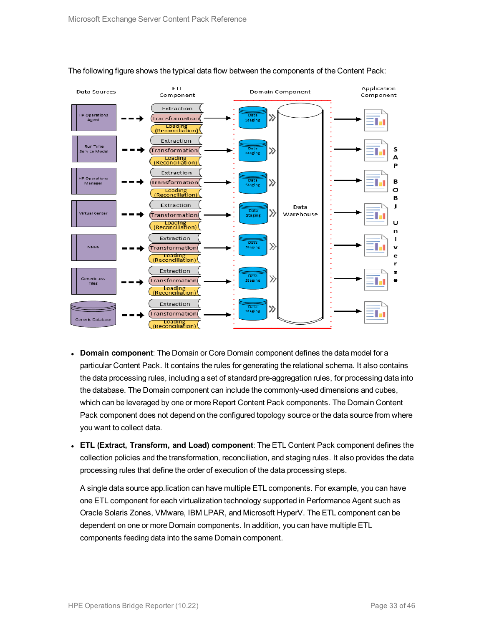

#### The following figure shows the typical data flow between the components of the Content Pack:

- **Domain component**: The Domain or Core Domain component defines the data model for a particular Content Pack. It contains the rules for generating the relational schema. It also contains the data processing rules, including a set of standard pre-aggregation rules, for processing data into the database. The Domain component can include the commonly-used dimensions and cubes, which can be leveraged by one or more Report Content Pack components. The Domain Content Pack component does not depend on the configured topology source or the data source from where you want to collect data.
- <sup>l</sup> **ETL (Extract, Transform, and Load) component**: The ETL Content Pack component defines the collection policies and the transformation, reconciliation, and staging rules. It also provides the data processing rules that define the order of execution of the data processing steps.

A single data source app.lication can have multiple ETL components. For example, you can have one ETL component for each virtualization technology supported in Performance Agent such as Oracle Solaris Zones, VMware, IBM LPAR, and Microsoft HyperV. The ETL component can be dependent on one or more Domain components. In addition, you can have multiple ETL components feeding data into the same Domain component.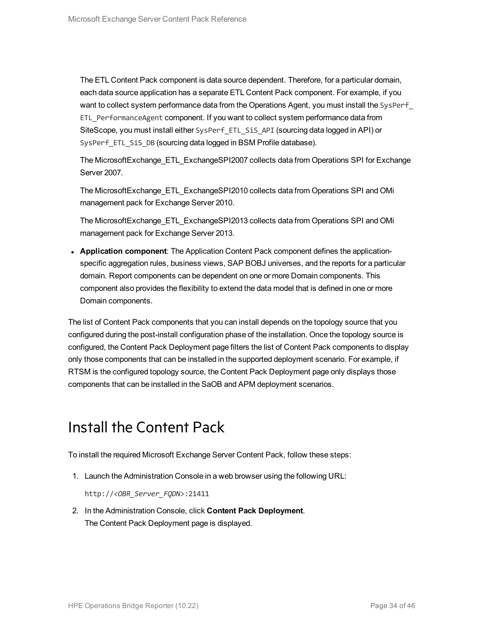The ETL Content Pack component is data source dependent. Therefore, for a particular domain, each data source application has a separate ETL Content Pack component. For example, if you want to collect system performance data from the Operations Agent, you must install the SysPerf ETL\_PerformanceAgent component. If you want to collect system performance data from SiteScope, you must install either SysPerf\_ETL\_SiS\_API (sourcing data logged in API) or SysPerf ETL SiS DB (sourcing data logged in BSM Profile database).

The MicrosoftExchange\_ETL\_ExchangeSPI2007 collects data from Operations SPI for Exchange Server 2007.

The MicrosoftExchange\_ETL\_ExchangeSPI2010 collects data from Operations SPI and OMi management pack for Exchange Server 2010.

The MicrosoftExchange\_ETL\_ExchangeSPI2013 collects data from Operations SPI and OMi management pack for Exchange Server 2013.

**• Application component**: The Application Content Pack component defines the applicationspecific aggregation rules, business views, SAP BOBJ universes, and the reports for a particular domain. Report components can be dependent on one or more Domain components. This component also provides the flexibility to extend the data model that is defined in one or more Domain components.

The list of Content Pack components that you can install depends on the topology source that you configured during the post-install configuration phase of the installation. Once the topology source is configured, the Content Pack Deployment page filters the list of Content Pack components to display only those components that can be installed in the supported deployment scenario. For example, if RTSM is the configured topology source, the Content Pack Deployment page only displays those components that can be installed in the SaOB and APM deployment scenarios.

## <span id="page-33-0"></span>Install the Content Pack

To install the required Microsoft Exchange Server Content Pack, follow these steps:

1. Launch the Administration Console in a web browser using the following URL:

http://*<OBR\_Server\_FQDN>*:21411

2. In the Administration Console, click **Content Pack Deployment**. The Content Pack Deployment page is displayed.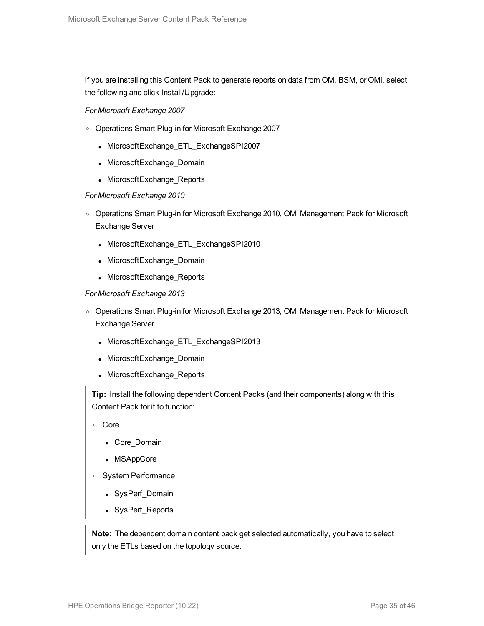If you are installing this Content Pack to generate reports on data from OM, BSM, or OMi, select the following and click Install/Upgrade:

#### *For Microsoft Exchange 2007*

- o Operations Smart Plug-in for Microsoft Exchange 2007
	- MicrosoftExchange\_ETL\_ExchangeSPI2007
	- MicrosoftExchange\_Domain
	- MicrosoftExchange\_Reports

#### *For Microsoft Exchange 2010*

- o Operations Smart Plug-in for Microsoft Exchange 2010, OMi Management Pack for Microsoft Exchange Server
	- MicrosoftExchange\_ETL\_ExchangeSPI2010
	- MicrosoftExchange\_Domain
	- MicrosoftExchange\_Reports

#### *For Microsoft Exchange 2013*

- o Operations Smart Plug-in for Microsoft Exchange 2013, OMi Management Pack for Microsoft Exchange Server
	- MicrosoftExchange\_ETL\_ExchangeSPI2013
	- MicrosoftExchange\_Domain
	- MicrosoftExchange\_Reports

**Tip:** Install the following dependent Content Packs (and their components) along with this Content Pack for it to function:

- <sup>o</sup> Core
	- Core\_Domain
	- MSAppCore
- <sup>o</sup> System Performance
	- SysPerf\_Domain
	- SysPerf\_Reports

**Note:** The dependent domain content pack get selected automatically, you have to select only the ETLs based on the topology source.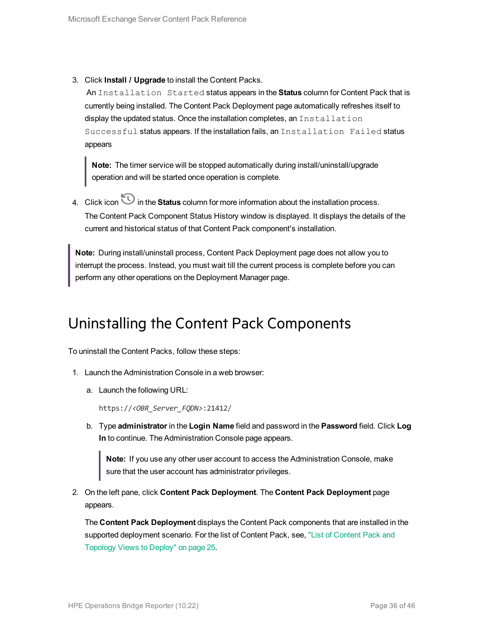3. Click **Install / Upgrade** to install the Content Packs.

An Installation Started status appears in the **Status** column for Content Pack that is currently being installed. The Content Pack Deployment page automatically refreshes itself to display the updated status. Once the installation completes, an Installation Successful status appears. If the installation fails, an Installation Failed status appears

**Note:** The timer service will be stopped automatically during install/uninstall/upgrade operation and will be started once operation is complete.

4. Click icon  $\bigcirc$  in the **Status** column for more information about the installation process. The Content Pack Component Status History window is displayed. It displays the details of the current and historical status of that Content Pack component's installation.

**Note:** During install/uninstall process, Content Pack Deployment page does not allow you to interrupt the process. Instead, you must wait till the current process is complete before you can perform any other operations on the Deployment Manager page.

## <span id="page-35-0"></span>Uninstalling the Content Pack Components

To uninstall the Content Packs, follow these steps:

- 1. Launch the Administration Console in a web browser:
	- a. Launch the following URL:

https://*<OBR\_Server\_FQDN>*:21412/

b. Type **administrator** in the **Login Name** field and password in the **Password** field. Click **Log In** to continue. The Administration Console page appears.

**Note:** If you use any other user account to access the Administration Console, make sure that the user account has administrator privileges.

2. On the left pane, click **Content Pack Deployment**. The **Content Pack Deployment** page appears.

The **Content Pack Deployment** displays the Content Pack components that are installed in the supported deployment scenario. For the list of [Content](#page-24-1) Pack, see, "List of Content Pack and [Topology](#page-24-1) Views to Deploy" on page 25.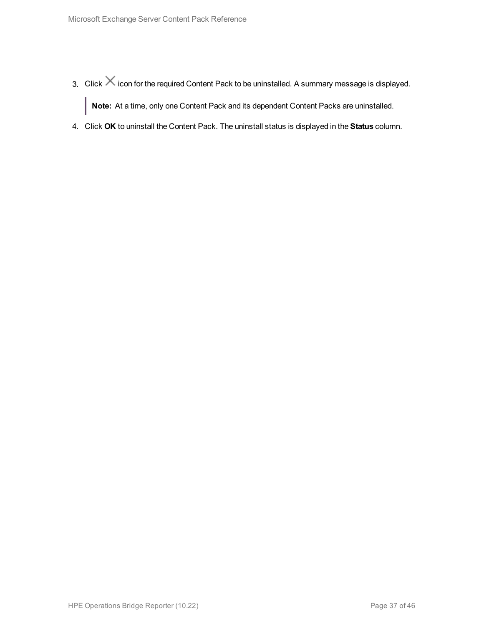- 3. Click  $\times$  icon for the required Content Pack to be uninstalled. A summary message is displayed. **Note:** At a time, only one Content Pack and its dependent Content Packs are uninstalled.
- 4. Click **OK** to uninstall the Content Pack. The uninstall status is displayed in the **Status** column.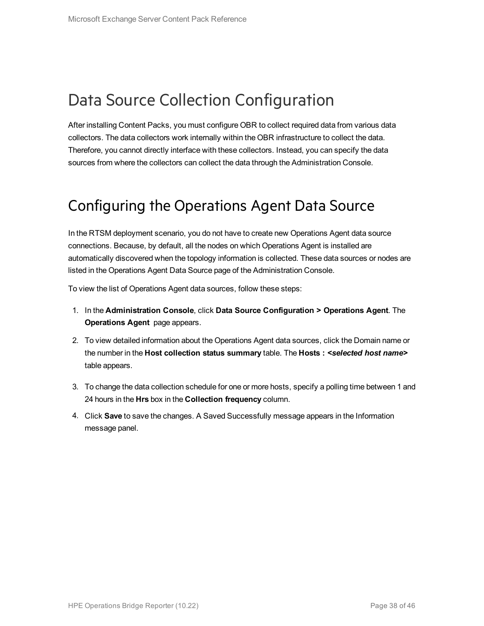## <span id="page-37-0"></span>Data Source Collection Configuration

After installing Content Packs, you must configure OBR to collect required data from various data collectors. The data collectors work internally within the OBR infrastructure to collect the data. Therefore, you cannot directly interface with these collectors. Instead, you can specify the data sources from where the collectors can collect the data through the Administration Console.

### <span id="page-37-1"></span>Configuring the Operations Agent Data Source

In the RTSM deployment scenario, you do not have to create new Operations Agent data source connections. Because, by default, all the nodes on which Operations Agent is installed are automatically discovered when the topology information is collected. These data sources or nodes are listed in the Operations Agent Data Source page of the Administration Console.

To view the list of Operations Agent data sources, follow these steps:

- 1. In the **Administration Console**, click **Data Source Configuration > Operations Agent**. The **Operations Agent** page appears.
- 2. To view detailed information about the Operations Agent data sources, click the Domain name or the number in the **Host collection status summary** table. The **Hosts :** *<selected host name>* table appears.
- 3. To change the data collection schedule for one or more hosts, specify a polling time between 1 and 24 hours in the **Hrs** box in the **Collection frequency** column.
- 4. Click **Save** to save the changes. A Saved Successfully message appears in the Information message panel.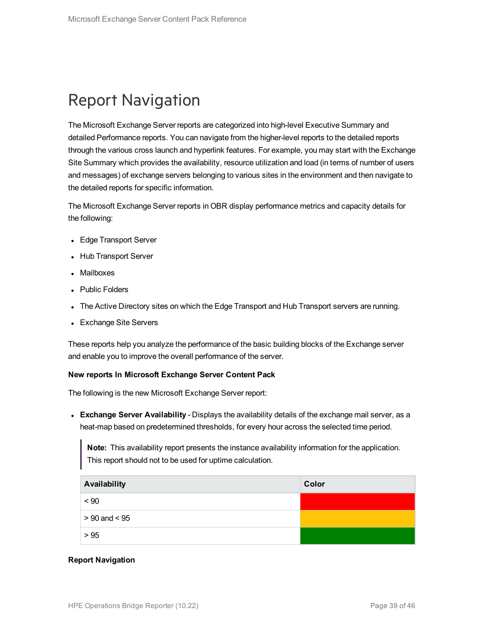# <span id="page-38-0"></span>Report Navigation

The Microsoft Exchange Server reports are categorized into high-level Executive Summary and detailed Performance reports. You can navigate from the higher-level reports to the detailed reports through the various cross launch and hyperlink features. For example, you may start with the Exchange Site Summary which provides the availability, resource utilization and load (in terms of number of users and messages) of exchange servers belonging to various sites in the environment and then navigate to the detailed reports for specific information.

The Microsoft Exchange Server reports in OBR display performance metrics and capacity details for the following:

- Edge Transport Server
- Hub Transport Server
- **Mailboxes**
- Public Folders
- The Active Directory sites on which the Edge Transport and Hub Transport servers are running.
- Exchange Site Servers

These reports help you analyze the performance of the basic building blocks of the Exchange server and enable you to improve the overall performance of the server.

#### **New reports In Microsoft Exchange Server Content Pack**

The following is the new Microsoft Exchange Server report:

**Exchange Server Availability** - Displays the availability details of the exchange mail server, as a heat-map based on predetermined thresholds, for every hour across the selected time period.

**Note:** This availability report presents the instance availability information for the application. This report should not to be used for uptime calculation.

| Availability      | Color |
|-------------------|-------|
| $~<$ 90           |       |
| $> 90$ and $< 95$ |       |
| > 95              |       |

#### **Report Navigation**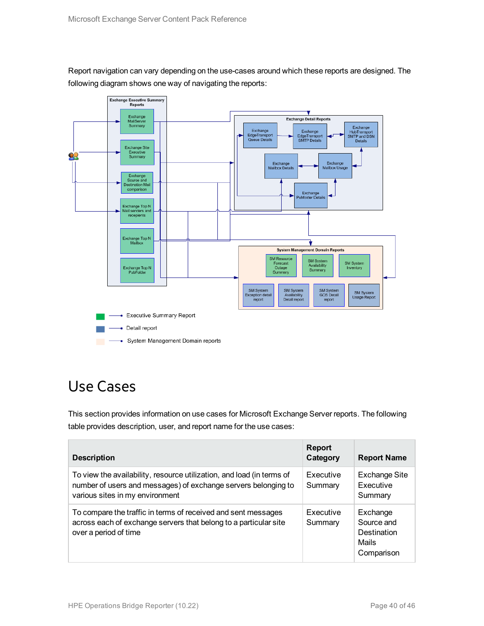Report navigation can vary depending on the use-cases around which these reports are designed. The following diagram shows one way of navigating the reports:



## <span id="page-39-0"></span>Use Cases

This section provides information on use cases for Microsoft Exchange Server reports. The following table provides description, user, and report name for the use cases:

| <b>Description</b>                                                                                                                                                         | <b>Report</b><br>Category | <b>Report Name</b>                                           |
|----------------------------------------------------------------------------------------------------------------------------------------------------------------------------|---------------------------|--------------------------------------------------------------|
| To view the availability, resource utilization, and load (in terms of<br>number of users and messages) of exchange servers belonging to<br>various sites in my environment | Executive<br>Summary      | <b>Exchange Site</b><br>Executive<br>Summary                 |
| To compare the traffic in terms of received and sent messages<br>across each of exchange servers that belong to a particular site<br>over a period of time                 | Executive<br>Summary      | Exchange<br>Source and<br>Destination<br>Mails<br>Comparison |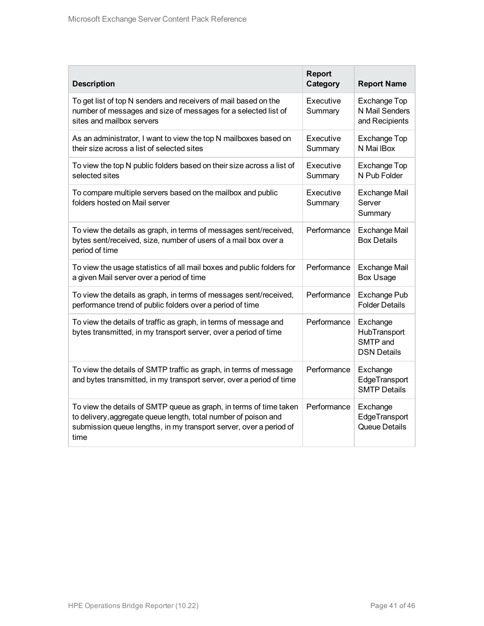| <b>Description</b>                                                                                                                                                                                                  | <b>Report</b><br>Category | <b>Report Name</b>                                         |
|---------------------------------------------------------------------------------------------------------------------------------------------------------------------------------------------------------------------|---------------------------|------------------------------------------------------------|
| To get list of top N senders and receivers of mail based on the<br>number of messages and size of messages for a selected list of<br>sites and mailbox servers                                                      | Executive<br>Summary      | <b>Exchange Top</b><br>N Mail Senders<br>and Recipients    |
| As an administrator, I want to view the top N mailboxes based on<br>their size across a list of selected sites                                                                                                      | Executive<br>Summary      | <b>Exchange Top</b><br>N Mai IBox                          |
| To view the top N public folders based on their size across a list of<br>selected sites                                                                                                                             | Executive<br>Summary      | <b>Exchange Top</b><br>N Pub Folder                        |
| To compare multiple servers based on the mailbox and public<br>folders hosted on Mail server                                                                                                                        | Executive<br>Summary      | <b>Exchange Mail</b><br>Server<br>Summary                  |
| To view the details as graph, in terms of messages sent/received,<br>bytes sent/received, size, number of users of a mail box over a<br>period of time                                                              | Performance               | <b>Exchange Mail</b><br><b>Box Details</b>                 |
| To view the usage statistics of all mail boxes and public folders for<br>a given Mail server over a period of time                                                                                                  | Performance               | <b>Exchange Mail</b><br><b>Box Usage</b>                   |
| To view the details as graph, in terms of messages sent/received,<br>performance trend of public folders over a period of time                                                                                      | Performance               | <b>Exchange Pub</b><br><b>Folder Details</b>               |
| To view the details of traffic as graph, in terms of message and<br>bytes transmitted, in my transport server, over a period of time                                                                                | Performance               | Exchange<br>HubTransport<br>SMTP and<br><b>DSN Details</b> |
| To view the details of SMTP traffic as graph, in terms of message<br>and bytes transmitted, in my transport server, over a period of time                                                                           | Performance               | Exchange<br>EdgeTransport<br><b>SMTP Details</b>           |
| To view the details of SMTP queue as graph, in terms of time taken<br>to delivery, aggregate queue length, total number of poison and<br>submission queue lengths, in my transport server, over a period of<br>time | Performance               | Exchange<br>EdgeTransport<br>Queue Details                 |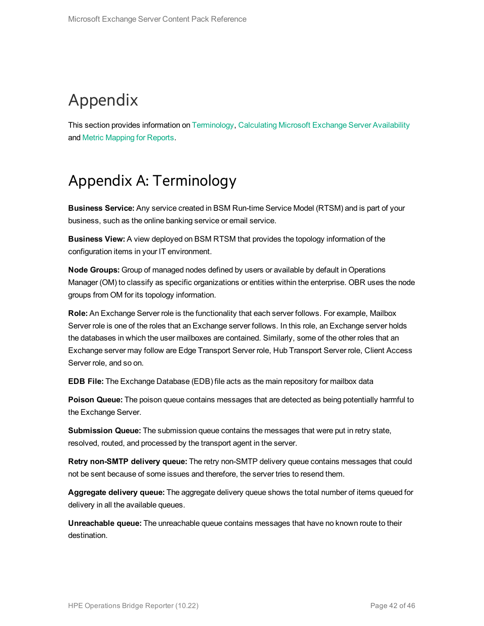# <span id="page-41-0"></span>Appendix

<span id="page-41-1"></span>This section provides information on [Terminology](#page-41-1), [Calculating](#page-42-0) Microsoft Exchange Server Availability and Metric [Mapping](#page-43-0) for Reports.

## Appendix A: Terminology

**Business Service:** Any service created in BSM Run-time Service Model (RTSM) and is part of your business, such as the online banking service or email service.

**Business View:** A view deployed on BSM RTSM that provides the topology information of the configuration items in your IT environment.

**Node Groups:** Group of managed nodes defined by users or available by default in Operations Manager (OM) to classify as specific organizations or entities within the enterprise. OBR uses the node groups from OM for its topology information.

**Role:** An Exchange Server role is the functionality that each server follows. For example, Mailbox Server role is one of the roles that an Exchange server follows. In this role, an Exchange server holds the databases in which the user mailboxes are contained. Similarly, some of the other roles that an Exchange server may follow are Edge Transport Server role, Hub Transport Server role, Client Access Server role, and so on.

**EDB File:** The Exchange Database (EDB) file acts as the main repository for mailbox data

**Poison Queue:** The poison queue contains messages that are detected as being potentially harmful to the Exchange Server.

**Submission Queue:** The submission queue contains the messages that were put in retry state, resolved, routed, and processed by the transport agent in the server.

**Retry non-SMTP delivery queue:** The retry non-SMTP delivery queue contains messages that could not be sent because of some issues and therefore, the server tries to resend them.

**Aggregate delivery queue:** The aggregate delivery queue shows the total number of items queued for delivery in all the available queues.

**Unreachable queue:** The unreachable queue contains messages that have no known route to their destination.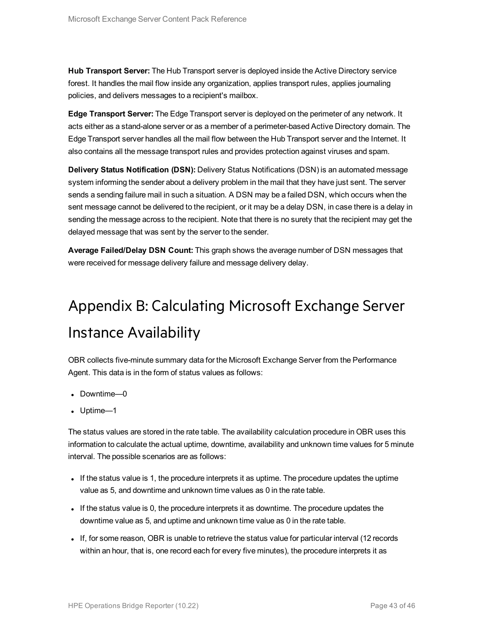**Hub Transport Server:** The Hub Transport server is deployed inside the Active Directory service forest. It handles the mail flow inside any organization, applies transport rules, applies journaling policies, and delivers messages to a recipient's mailbox.

**Edge Transport Server:** The Edge Transport server is deployed on the perimeter of any network. It acts either as a stand-alone server or as a member of a perimeter-based Active Directory domain. The Edge Transport server handles all the mail flow between the Hub Transport server and the Internet. It also contains all the message transport rules and provides protection against viruses and spam.

**Delivery Status Notification (DSN):** Delivery Status Notifications (DSN) is an automated message system informing the sender about a delivery problem in the mail that they have just sent. The server sends a sending failure mail in such a situation. A DSN may be a failed DSN, which occurs when the sent message cannot be delivered to the recipient, or it may be a delay DSN, in case there is a delay in sending the message across to the recipient. Note that there is no surety that the recipient may get the delayed message that was sent by the server to the sender.

<span id="page-42-0"></span>**Average Failed/Delay DSN Count:** This graph shows the average number of DSN messages that were received for message delivery failure and message delivery delay.

# Appendix B: Calculating Microsoft Exchange Server Instance Availability

OBR collects five-minute summary data for the Microsoft Exchange Server from the Performance Agent. This data is in the form of status values as follows:

- Downtime—0
- Uptime—1

The status values are stored in the rate table. The availability calculation procedure in OBR uses this information to calculate the actual uptime, downtime, availability and unknown time values for 5 minute interval. The possible scenarios are as follows:

- If the status value is 1, the procedure interprets it as uptime. The procedure updates the uptime value as 5, and downtime and unknown time values as 0 in the rate table.
- If the status value is 0, the procedure interprets it as downtime. The procedure updates the downtime value as 5, and uptime and unknown time value as 0 in the rate table.
- If, for some reason, OBR is unable to retrieve the status value for particular interval (12 records within an hour, that is, one record each for every five minutes), the procedure interprets it as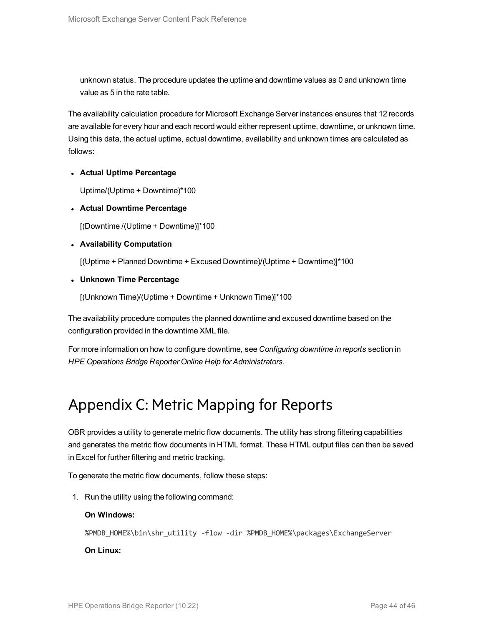unknown status. The procedure updates the uptime and downtime values as 0 and unknown time value as 5 in the rate table.

The availability calculation procedure for Microsoft Exchange Server instances ensures that 12 records are available for every hour and each record would either represent uptime, downtime, or unknown time. Using this data, the actual uptime, actual downtime, availability and unknown times are calculated as follows:

#### <sup>l</sup> **Actual Uptime Percentage**

Uptime/(Uptime + Downtime)\*100

<sup>l</sup> **Actual Downtime Percentage**

[(Downtime /(Uptime + Downtime)]\*100

#### <sup>l</sup> **Availability Computation**

[(Uptime + Planned Downtime + Excused Downtime)/(Uptime + Downtime)]\*100

<sup>l</sup> **Unknown Time Percentage**

[(Unknown Time)/(Uptime + Downtime + Unknown Time)]\*100

The availability procedure computes the planned downtime and excused downtime based on the configuration provided in the downtime XML file.

<span id="page-43-0"></span>For more information on how to configure downtime, see *Configuring downtime in reports* section in *HPE Operations Bridge Reporter Online Help for Administrators*.

## Appendix C: Metric Mapping for Reports

OBR provides a utility to generate metric flow documents. The utility has strong filtering capabilities and generates the metric flow documents in HTML format. These HTML output files can then be saved in Excel for further filtering and metric tracking.

To generate the metric flow documents, follow these steps:

1. Run the utility using the following command:

#### **On Windows:**

%PMDB HOME%\bin\shr\_utility -flow -dir %PMDB HOME%\packages\ExchangeServer

#### **On Linux:**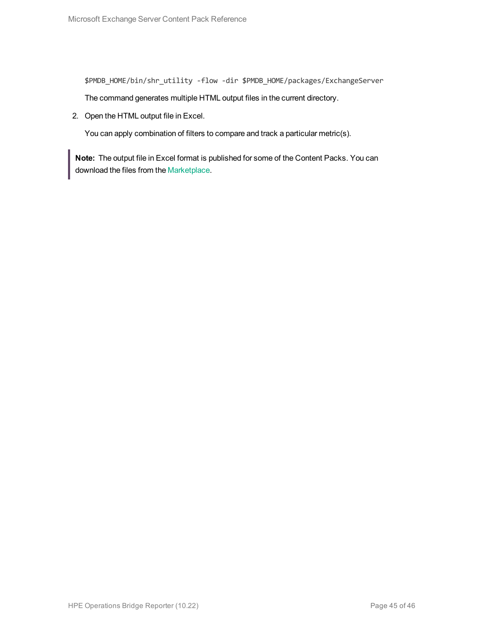\$PMDB\_HOME/bin/shr\_utility -flow -dir \$PMDB\_HOME/packages/ExchangeServer

The command generates multiple HTML output files in the current directory.

2. Open the HTML output file in Excel.

You can apply combination of filters to compare and track a particular metric(s).

**Note:** The output file in Excel format is published for some of the Content Packs. You can download the files from the [Marketplace.](https://hpln.hp.com/node/24267/attachment)